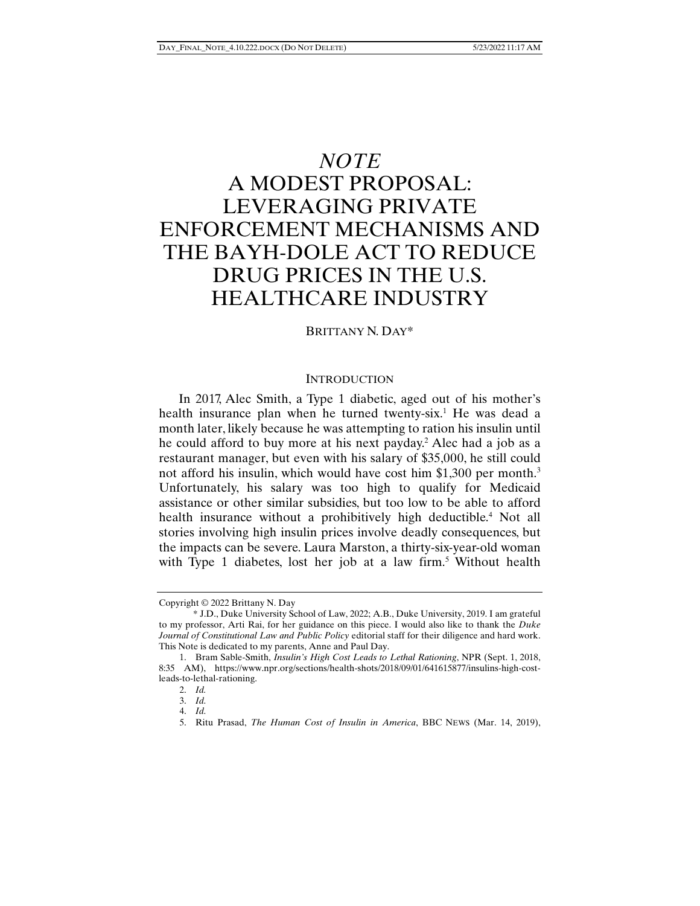# *NOTE*  A MODEST PROPOSAL: LEVERAGING PRIVATE ENFORCEMENT MECHANISMS AND THE BAYH-DOLE ACT TO REDUCE DRUG PRICES IN THE U.S. HEALTHCARE INDUSTRY

## BRITTANY N. DAY\*

## **INTRODUCTION**

In 2017, Alec Smith, a Type 1 diabetic, aged out of his mother's health insurance plan when he turned twenty-six.<sup>1</sup> He was dead a month later, likely because he was attempting to ration his insulin until he could afford to buy more at his next payday.<sup>2</sup> Alec had a job as a restaurant manager, but even with his salary of \$35,000, he still could not afford his insulin, which would have cost him \$1,300 per month.<sup>3</sup> Unfortunately, his salary was too high to qualify for Medicaid assistance or other similar subsidies, but too low to be able to afford health insurance without a prohibitively high deductible.<sup>4</sup> Not all stories involving high insulin prices involve deadly consequences, but the impacts can be severe. Laura Marston, a thirty-six-year-old woman with Type 1 diabetes, lost her job at a law firm.<sup>5</sup> Without health

Copyright © 2022 Brittany N. Day

 <sup>\*</sup> J.D., Duke University School of Law, 2022; A.B., Duke University, 2019. I am grateful to my professor, Arti Rai, for her guidance on this piece. I would also like to thank the *Duke Journal of Constitutional Law and Public Policy* editorial staff for their diligence and hard work. This Note is dedicated to my parents, Anne and Paul Day.

 <sup>1.</sup> Bram Sable-Smith, *Insulin's High Cost Leads to Lethal Rationing*, NPR (Sept. 1, 2018, 8:35 AM), https://www.npr.org/sections/health-shots/2018/09/01/641615877/insulins-high-costleads-to-lethal-rationing.

 <sup>2.</sup> *Id.*

 <sup>3.</sup> *Id.* 

 <sup>4.</sup> *Id.* 

 <sup>5.</sup> Ritu Prasad, *The Human Cost of Insulin in America*, BBC NEWS (Mar. 14, 2019),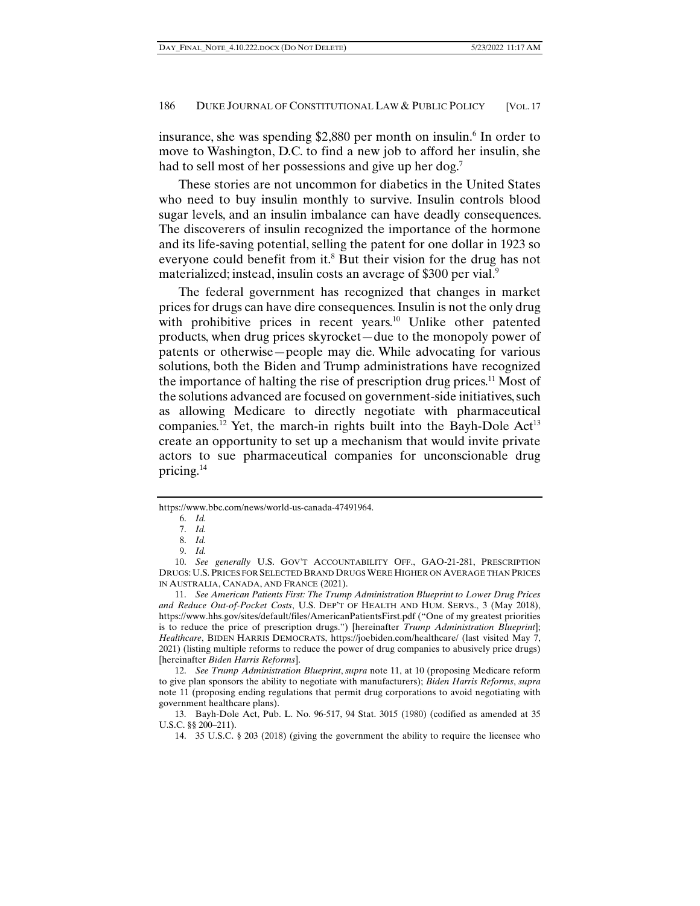insurance, she was spending \$2,880 per month on insulin.<sup>6</sup> In order to move to Washington, D.C. to find a new job to afford her insulin, she had to sell most of her possessions and give up her dog.<sup>7</sup>

These stories are not uncommon for diabetics in the United States who need to buy insulin monthly to survive. Insulin controls blood sugar levels, and an insulin imbalance can have deadly consequences. The discoverers of insulin recognized the importance of the hormone and its life-saving potential, selling the patent for one dollar in 1923 so everyone could benefit from it.<sup>8</sup> But their vision for the drug has not materialized; instead, insulin costs an average of \$300 per vial.<sup>9</sup>

The federal government has recognized that changes in market prices for drugs can have dire consequences. Insulin is not the only drug with prohibitive prices in recent years.<sup>10</sup> Unlike other patented products, when drug prices skyrocket—due to the monopoly power of patents or otherwise—people may die. While advocating for various solutions, both the Biden and Trump administrations have recognized the importance of halting the rise of prescription drug prices.<sup>11</sup> Most of the solutions advanced are focused on government-side initiatives, such as allowing Medicare to directly negotiate with pharmaceutical companies.<sup>12</sup> Yet, the march-in rights built into the Bayh-Dole  $Act^{13}$ create an opportunity to set up a mechanism that would invite private actors to sue pharmaceutical companies for unconscionable drug pricing.14

 11. *See American Patients First: The Trump Administration Blueprint to Lower Drug Prices and Reduce Out-of-Pocket Costs*, U.S. DEP'T OF HEALTH AND HUM. SERVS., 3 (May 2018), https://www.hhs.gov/sites/default/files/AmericanPatientsFirst.pdf ("One of my greatest priorities is to reduce the price of prescription drugs.") [hereinafter *Trump Administration Blueprint*]; *Healthcare*, BIDEN HARRIS DEMOCRATS, https://joebiden.com/healthcare/ (last visited May 7, 2021) (listing multiple reforms to reduce the power of drug companies to abusively price drugs) [hereinafter *Biden Harris Reforms*].

https://www.bbc.com/news/world-us-canada-47491964.

 <sup>6.</sup> *Id.*

 <sup>7.</sup> *Id.* 

 <sup>8.</sup> *Id.* 

 <sup>9.</sup> *Id.*

 <sup>10.</sup> *See generally* U.S. GOV'T ACCOUNTABILITY OFF., GAO-21-281, PRESCRIPTION DRUGS: U.S. PRICES FOR SELECTED BRAND DRUGS WERE HIGHER ON AVERAGE THAN PRICES IN AUSTRALIA, CANADA, AND FRANCE (2021).

 <sup>12.</sup> *See Trump Administration Blueprint*, *supra* note 11, at 10 (proposing Medicare reform to give plan sponsors the ability to negotiate with manufacturers); *Biden Harris Reforms*, *supra*  note 11 (proposing ending regulations that permit drug corporations to avoid negotiating with government healthcare plans).

 <sup>13.</sup> Bayh-Dole Act, Pub. L. No. 96-517, 94 Stat. 3015 (1980) (codified as amended at 35 U.S.C. §§ 200–211).

 <sup>14. 35</sup> U.S.C. § 203 (2018) (giving the government the ability to require the licensee who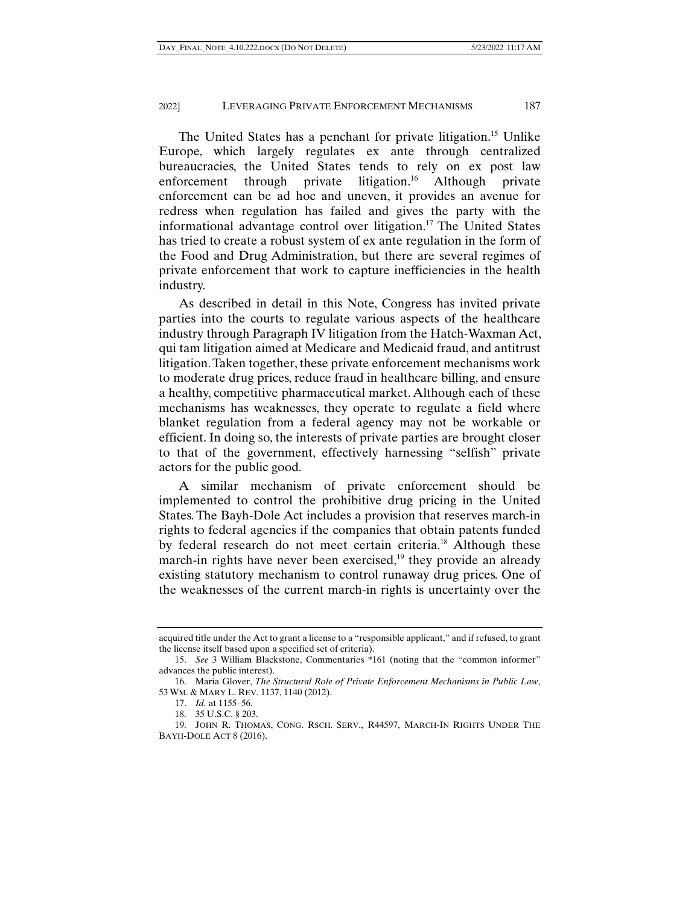The United States has a penchant for private litigation.<sup>15</sup> Unlike Europe, which largely regulates ex ante through centralized bureaucracies, the United States tends to rely on ex post law enforcement through private litigation.<sup>16</sup> Although private enforcement can be ad hoc and uneven, it provides an avenue for redress when regulation has failed and gives the party with the informational advantage control over litigation.<sup>17</sup> The United States has tried to create a robust system of ex ante regulation in the form of the Food and Drug Administration, but there are several regimes of private enforcement that work to capture inefficiencies in the health industry.

As described in detail in this Note, Congress has invited private parties into the courts to regulate various aspects of the healthcare industry through Paragraph IV litigation from the Hatch-Waxman Act, qui tam litigation aimed at Medicare and Medicaid fraud, and antitrust litigation. Taken together, these private enforcement mechanisms work to moderate drug prices, reduce fraud in healthcare billing, and ensure a healthy, competitive pharmaceutical market. Although each of these mechanisms has weaknesses, they operate to regulate a field where blanket regulation from a federal agency may not be workable or efficient. In doing so, the interests of private parties are brought closer to that of the government, effectively harnessing "selfish" private actors for the public good.

A similar mechanism of private enforcement should be implemented to control the prohibitive drug pricing in the United States. The Bayh-Dole Act includes a provision that reserves march-in rights to federal agencies if the companies that obtain patents funded by federal research do not meet certain criteria.18 Although these march-in rights have never been exercised, $19$  they provide an already existing statutory mechanism to control runaway drug prices. One of the weaknesses of the current march-in rights is uncertainty over the

acquired title under the Act to grant a license to a "responsible applicant," and if refused, to grant the license itself based upon a specified set of criteria).

 <sup>15.</sup> *See* 3 William Blackstone, Commentaries \*161 (noting that the "common informer" advances the public interest).

 <sup>16.</sup> Maria Glover, *The Structural Role of Private Enforcement Mechanisms in Public Law*, 53 WM. & MARY L. REV. 1137, 1140 (2012).

 <sup>17.</sup> *Id.* at 1155–56.

 <sup>18. 35</sup> U.S.C. § 203.

 <sup>19.</sup> JOHN R. THOMAS, CONG. RSCH. SERV., R44597, MARCH-IN RIGHTS UNDER THE BAYH-DOLE ACT 8 (2016).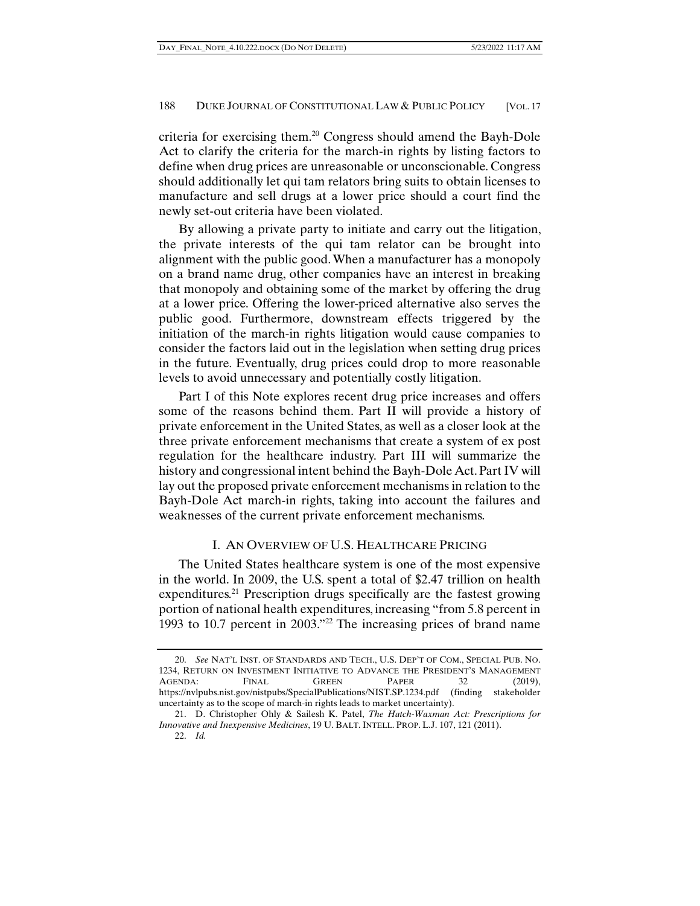criteria for exercising them.20 Congress should amend the Bayh-Dole Act to clarify the criteria for the march-in rights by listing factors to define when drug prices are unreasonable or unconscionable. Congress should additionally let qui tam relators bring suits to obtain licenses to manufacture and sell drugs at a lower price should a court find the newly set-out criteria have been violated.

By allowing a private party to initiate and carry out the litigation, the private interests of the qui tam relator can be brought into alignment with the public good. When a manufacturer has a monopoly on a brand name drug, other companies have an interest in breaking that monopoly and obtaining some of the market by offering the drug at a lower price. Offering the lower-priced alternative also serves the public good. Furthermore, downstream effects triggered by the initiation of the march-in rights litigation would cause companies to consider the factors laid out in the legislation when setting drug prices in the future. Eventually, drug prices could drop to more reasonable levels to avoid unnecessary and potentially costly litigation.

Part I of this Note explores recent drug price increases and offers some of the reasons behind them. Part II will provide a history of private enforcement in the United States, as well as a closer look at the three private enforcement mechanisms that create a system of ex post regulation for the healthcare industry. Part III will summarize the history and congressional intent behind the Bayh-Dole Act. Part IV will lay out the proposed private enforcement mechanisms in relation to the Bayh-Dole Act march-in rights, taking into account the failures and weaknesses of the current private enforcement mechanisms.

# I. AN OVERVIEW OF U.S. HEALTHCARE PRICING

The United States healthcare system is one of the most expensive in the world. In 2009, the U.S. spent a total of \$2.47 trillion on health expenditures.<sup>21</sup> Prescription drugs specifically are the fastest growing portion of national health expenditures, increasing "from 5.8 percent in 1993 to 10.7 percent in 2003."22 The increasing prices of brand name

 <sup>20.</sup> *See* NAT'L INST. OF STANDARDS AND TECH., U.S. DEP'T OF COM., SPECIAL PUB. NO. 1234, RETURN ON INVESTMENT INITIATIVE TO ADVANCE THE PRESIDENT'S MANAGEMENT AGENDA: FINAL GREEN PAPER 32 (2019), https://nvlpubs.nist.gov/nistpubs/SpecialPublications/NIST.SP.1234.pdf (finding stakeholder uncertainty as to the scope of march-in rights leads to market uncertainty).

 <sup>21.</sup> D. Christopher Ohly & Sailesh K. Patel, *The Hatch-Waxman Act: Prescriptions for Innovative and Inexpensive Medicines*, 19 U. BALT. INTELL. PROP. L.J. 107, 121 (2011).

 <sup>22.</sup> *Id.*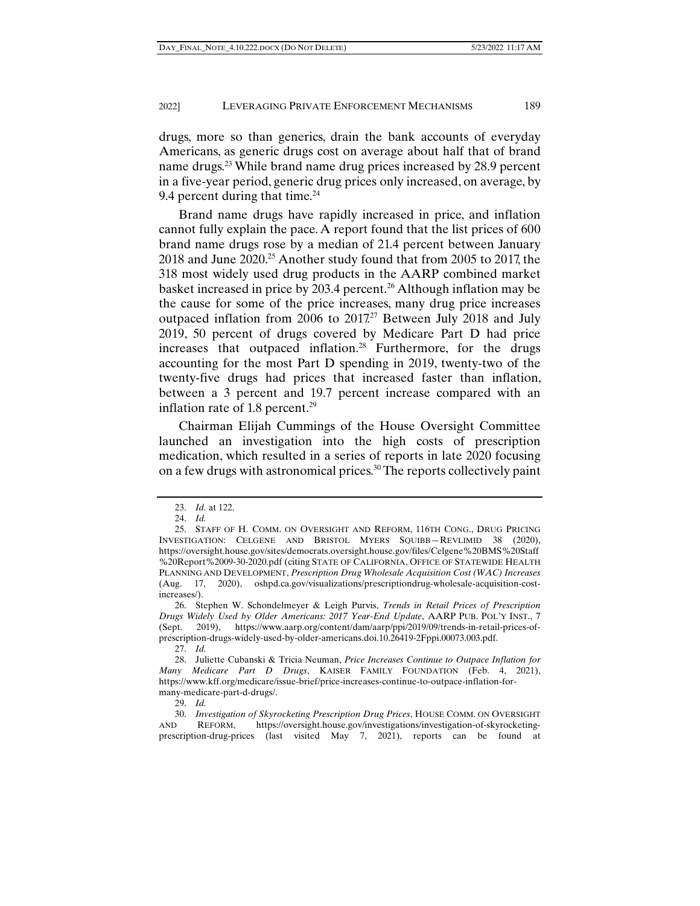drugs, more so than generics, drain the bank accounts of everyday Americans, as generic drugs cost on average about half that of brand name drugs.<sup>23</sup> While brand name drug prices increased by 28.9 percent in a five-year period, generic drug prices only increased, on average, by 9.4 percent during that time. $^{24}$ 

Brand name drugs have rapidly increased in price, and inflation cannot fully explain the pace. A report found that the list prices of 600 brand name drugs rose by a median of 21.4 percent between January 2018 and June 2020.25 Another study found that from 2005 to 2017, the 318 most widely used drug products in the AARP combined market basket increased in price by 203.4 percent.<sup>26</sup> Although inflation may be the cause for some of the price increases, many drug price increases outpaced inflation from 2006 to 2017<sup>27</sup> Between July 2018 and July 2019, 50 percent of drugs covered by Medicare Part D had price increases that outpaced inflation.<sup>28</sup> Furthermore, for the drugs accounting for the most Part D spending in 2019, twenty-two of the twenty-five drugs had prices that increased faster than inflation, between a 3 percent and 19.7 percent increase compared with an inflation rate of 1.8 percent.<sup>29</sup>

Chairman Elijah Cummings of the House Oversight Committee launched an investigation into the high costs of prescription medication, which resulted in a series of reports in late 2020 focusing on a few drugs with astronomical prices.30 The reports collectively paint

 <sup>23.</sup> *Id.* at 122.

 <sup>24.</sup> *Id.*

 <sup>25.</sup> STAFF OF H. COMM. ON OVERSIGHT AND REFORM, 116TH CONG., DRUG PRICING INVESTIGATION: CELGENE AND BRISTOL MYERS SQUIBB—REVLIMID 38 (2020), https://oversight.house.gov/sites/democrats.oversight.house.gov/files/Celgene%20BMS%20Staff %20Report%2009-30-2020.pdf (citing STATE OF CALIFORNIA, OFFICE OF STATEWIDE HEALTH PLANNING AND DEVELOPMENT, *Prescription Drug Wholesale Acquisition Cost (WAC) Increases* (Aug. 17, 2020), oshpd.ca.gov/visualizations/prescriptiondrug-wholesale-acquisition-costincreases/).

 <sup>26.</sup> Stephen W. Schondelmeyer & Leigh Purvis, *Trends in Retail Prices of Prescription Drugs Widely Used by Older Americans: 2017 Year-End Update*, AARP PUB. POL'Y INST., 7 (Sept. 2019), https://www.aarp.org/content/dam/aarp/ppi/2019/09/trends-in-retail-prices-ofprescription-drugs-widely-used-by-older-americans.doi.10.26419-2Fppi.00073.003.pdf.

 <sup>27.</sup> *Id.* 

 <sup>28.</sup> Juliette Cubanski & Tricia Neuman, *Price Increases Continue to Outpace Inflation for Many Medicare Part D Drugs*, KAISER FAMILY FOUNDATION (Feb. 4, 2021), https://www.kff.org/medicare/issue-brief/price-increases-continue-to-outpace-inflation-formany-medicare-part-d-drugs/.

 <sup>29.</sup> *Id.*

 <sup>30.</sup> *Investigation of Skyrocketing Prescription Drug Prices*, HOUSE COMM. ON OVERSIGHT AND REFORM, https://oversight.house.gov/investigations/investigation-of-skyrocketingprescription-drug-prices (last visited May 7, 2021), reports can be found at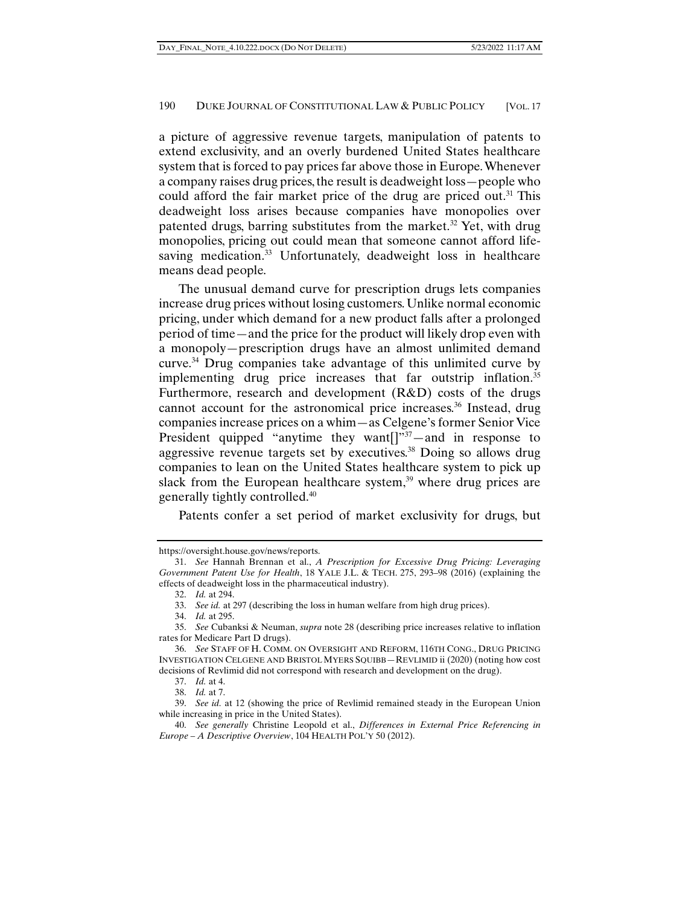a picture of aggressive revenue targets, manipulation of patents to extend exclusivity, and an overly burdened United States healthcare system that is forced to pay prices far above those in Europe. Whenever a company raises drug prices, the result is deadweight loss—people who could afford the fair market price of the drug are priced out.<sup>31</sup> This deadweight loss arises because companies have monopolies over patented drugs, barring substitutes from the market.<sup>32</sup> Yet, with drug monopolies, pricing out could mean that someone cannot afford lifesaving medication.<sup>33</sup> Unfortunately, deadweight loss in healthcare means dead people.

The unusual demand curve for prescription drugs lets companies increase drug prices without losing customers. Unlike normal economic pricing, under which demand for a new product falls after a prolonged period of time—and the price for the product will likely drop even with a monopoly—prescription drugs have an almost unlimited demand curve.34 Drug companies take advantage of this unlimited curve by implementing drug price increases that far outstrip inflation.<sup>35</sup> Furthermore, research and development (R&D) costs of the drugs cannot account for the astronomical price increases.<sup>36</sup> Instead, drug companies increase prices on a whim—as Celgene's former Senior Vice President quipped "anytime they want $[]$ " $37$  – and in response to aggressive revenue targets set by executives.38 Doing so allows drug companies to lean on the United States healthcare system to pick up slack from the European healthcare system, $39$  where drug prices are generally tightly controlled.40

Patents confer a set period of market exclusivity for drugs, but

https://oversight.house.gov/news/reports.

 <sup>31.</sup> *See* Hannah Brennan et al., *A Prescription for Excessive Drug Pricing: Leveraging Government Patent Use for Health*, 18 YALE J.L. & TECH. 275, 293–98 (2016) (explaining the effects of deadweight loss in the pharmaceutical industry).

 <sup>32.</sup> *Id.* at 294.

 <sup>33.</sup> *See id.* at 297 (describing the loss in human welfare from high drug prices).

 <sup>34.</sup> *Id.* at 295.

 <sup>35.</sup> *See* Cubanksi & Neuman, *supra* note 28 (describing price increases relative to inflation rates for Medicare Part D drugs).

 <sup>36.</sup> *See* STAFF OF H. COMM. ON OVERSIGHT AND REFORM, 116TH CONG., DRUG PRICING INVESTIGATION CELGENE AND BRISTOL MYERS SQUIBB—REVLIMID ii (2020) (noting how cost decisions of Revlimid did not correspond with research and development on the drug).

 <sup>37.</sup> *Id.* at 4.

 <sup>38.</sup> *Id.* at 7.

 <sup>39.</sup> *See id.* at 12 (showing the price of Revlimid remained steady in the European Union while increasing in price in the United States).

 <sup>40.</sup> *See generally* Christine Leopold et al., *Differences in External Price Referencing in Europe – A Descriptive Overview*, 104 HEALTH POL'Y 50 (2012).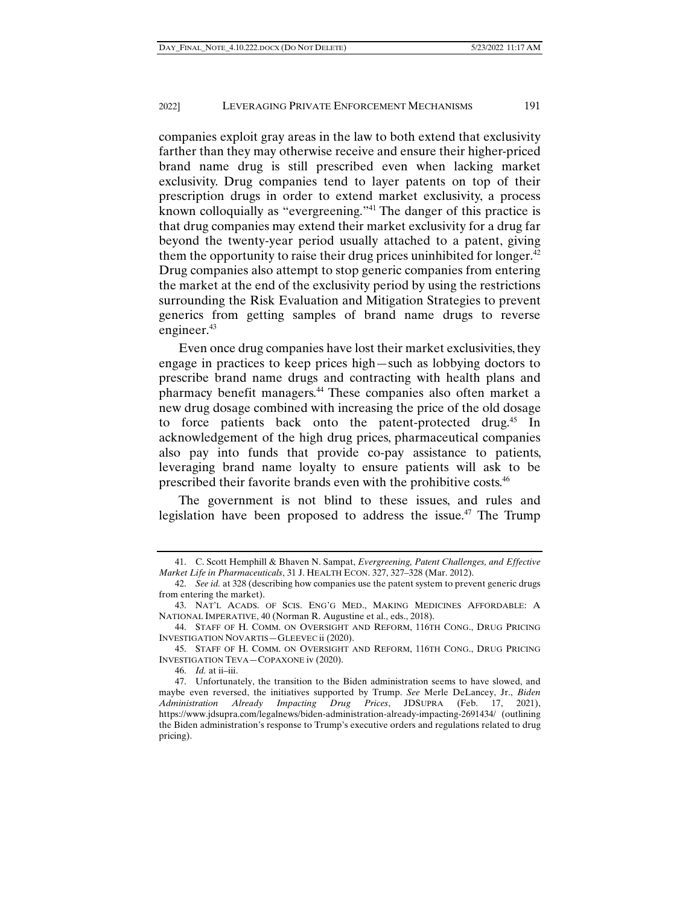companies exploit gray areas in the law to both extend that exclusivity farther than they may otherwise receive and ensure their higher-priced brand name drug is still prescribed even when lacking market exclusivity. Drug companies tend to layer patents on top of their prescription drugs in order to extend market exclusivity, a process known colloquially as "evergreening."41 The danger of this practice is that drug companies may extend their market exclusivity for a drug far beyond the twenty-year period usually attached to a patent, giving them the opportunity to raise their drug prices uninhibited for longer.<sup>42</sup> Drug companies also attempt to stop generic companies from entering the market at the end of the exclusivity period by using the restrictions surrounding the Risk Evaluation and Mitigation Strategies to prevent generics from getting samples of brand name drugs to reverse engineer.<sup>43</sup>

Even once drug companies have lost their market exclusivities, they engage in practices to keep prices high—such as lobbying doctors to prescribe brand name drugs and contracting with health plans and pharmacy benefit managers.44 These companies also often market a new drug dosage combined with increasing the price of the old dosage to force patients back onto the patent-protected drug.<sup>45</sup> In acknowledgement of the high drug prices, pharmaceutical companies also pay into funds that provide co-pay assistance to patients, leveraging brand name loyalty to ensure patients will ask to be prescribed their favorite brands even with the prohibitive costs.46

The government is not blind to these issues, and rules and legislation have been proposed to address the issue.<sup>47</sup> The Trump

 <sup>41.</sup> C. Scott Hemphill & Bhaven N. Sampat, *Evergreening, Patent Challenges, and Effective Market Life in Pharmaceuticals*, 31 J. HEALTH ECON. 327, 327–328 (Mar. 2012).

 <sup>42.</sup> *See id.* at 328 (describing how companies use the patent system to prevent generic drugs from entering the market).

 <sup>43.</sup> NAT'L ACADS. OF SCIS. ENG'G MED., MAKING MEDICINES AFFORDABLE: A NATIONAL IMPERATIVE, 40 (Norman R. Augustine et al., eds., 2018).

 <sup>44.</sup> STAFF OF H. COMM. ON OVERSIGHT AND REFORM, 116TH CONG., DRUG PRICING INVESTIGATION NOVARTIS—GLEEVEC ii (2020).

 <sup>45.</sup> STAFF OF H. COMM. ON OVERSIGHT AND REFORM, 116TH CONG., DRUG PRICING INVESTIGATION TEVA—COPAXONE iv (2020).

 <sup>46.</sup> *Id.* at ii–iii.

 <sup>47.</sup> Unfortunately, the transition to the Biden administration seems to have slowed, and maybe even reversed, the initiatives supported by Trump. *See* Merle DeLancey, Jr., *Biden Administration Already Impacting Drug Prices*, JDSUPRA (Feb. 17, 2021), https://www.jdsupra.com/legalnews/biden-administration-already-impacting-2691434/ (outlining the Biden administration's response to Trump's executive orders and regulations related to drug pricing).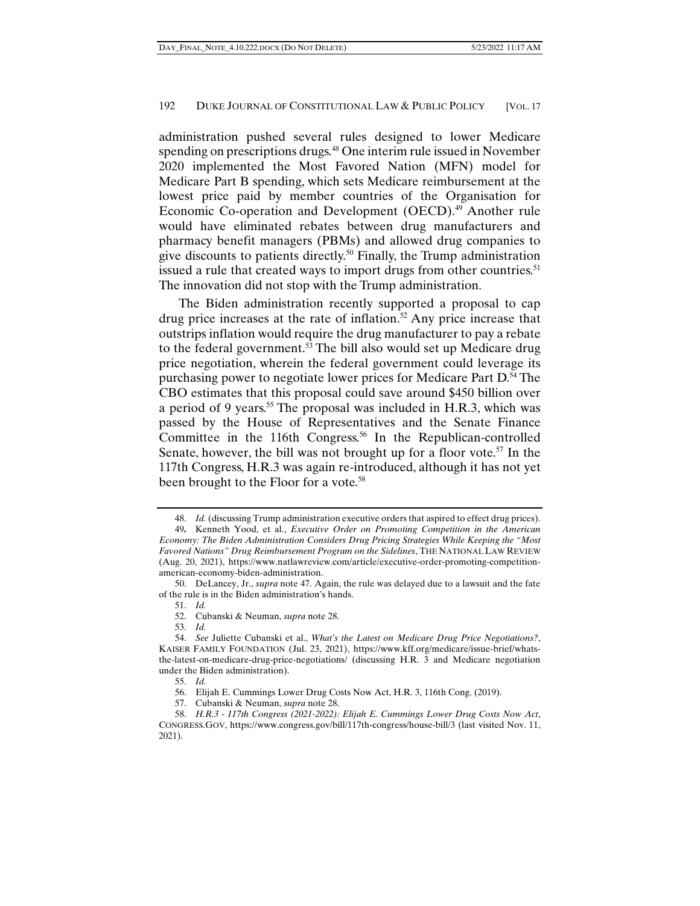administration pushed several rules designed to lower Medicare spending on prescriptions drugs.<sup>48</sup> One interim rule issued in November 2020 implemented the Most Favored Nation (MFN) model for Medicare Part B spending, which sets Medicare reimbursement at the lowest price paid by member countries of the Organisation for Economic Co-operation and Development (OECD).<sup>49</sup> Another rule would have eliminated rebates between drug manufacturers and pharmacy benefit managers (PBMs) and allowed drug companies to give discounts to patients directly.<sup>50</sup> Finally, the Trump administration issued a rule that created ways to import drugs from other countries.<sup>51</sup> The innovation did not stop with the Trump administration.

The Biden administration recently supported a proposal to cap drug price increases at the rate of inflation.<sup>52</sup> Any price increase that outstrips inflation would require the drug manufacturer to pay a rebate to the federal government.53 The bill also would set up Medicare drug price negotiation, wherein the federal government could leverage its purchasing power to negotiate lower prices for Medicare Part D.<sup>54</sup> The CBO estimates that this proposal could save around \$450 billion over a period of 9 years.<sup>55</sup> The proposal was included in H.R.3, which was passed by the House of Representatives and the Senate Finance Committee in the 116th Congress.<sup>56</sup> In the Republican-controlled Senate, however, the bill was not brought up for a floor vote.<sup>57</sup> In the 117th Congress, H.R.3 was again re-introduced, although it has not yet been brought to the Floor for a vote.<sup>58</sup>

 <sup>48.</sup> *Id.* (discussing Trump administration executive orders that aspired to effect drug prices).

<sup>49</sup>**.** Kenneth Yood, et al., *Executive Order on Promoting Competition in the American Economy: The Biden Administration Considers Drug Pricing Strategies While Keeping the "Most Favored Nations" Drug Reimbursement Program on the Sidelines*, THE NATIONAL LAW REVIEW (Aug. 20, 2021), https://www.natlawreview.com/article/executive-order-promoting-competitionamerican-economy-biden-administration.

 <sup>50.</sup> DeLancey, Jr., *supra* note 47. Again, the rule was delayed due to a lawsuit and the fate of the rule is in the Biden administration's hands.

 <sup>51.</sup> *Id.*

 <sup>52.</sup> Cubanski & Neuman, *supra* note 28.

 <sup>53.</sup> *Id.* 

 <sup>54.</sup> *See* Juliette Cubanski et al., *What's the Latest on Medicare Drug Price Negotiations?*, KAISER FAMILY FOUNDATION (Jul. 23, 2021), https://www.kff.org/medicare/issue-brief/whatsthe-latest-on-medicare-drug-price-negotiations/ (discussing H.R. 3 and Medicare negotiation under the Biden administration).

 <sup>55.</sup> *Id.*

 <sup>56.</sup> Elijah E. Cummings Lower Drug Costs Now Act, H.R. 3, 116th Cong. (2019).

 <sup>57.</sup> Cubanski & Neuman, *supra* note 28.

 <sup>58.</sup> *H.R.3 - 117th Congress (2021-2022): Elijah E. Cummings Lower Drug Costs Now Act*, CONGRESS.GOV, https://www.congress.gov/bill/117th-congress/house-bill/3 (last visited Nov. 11, 2021).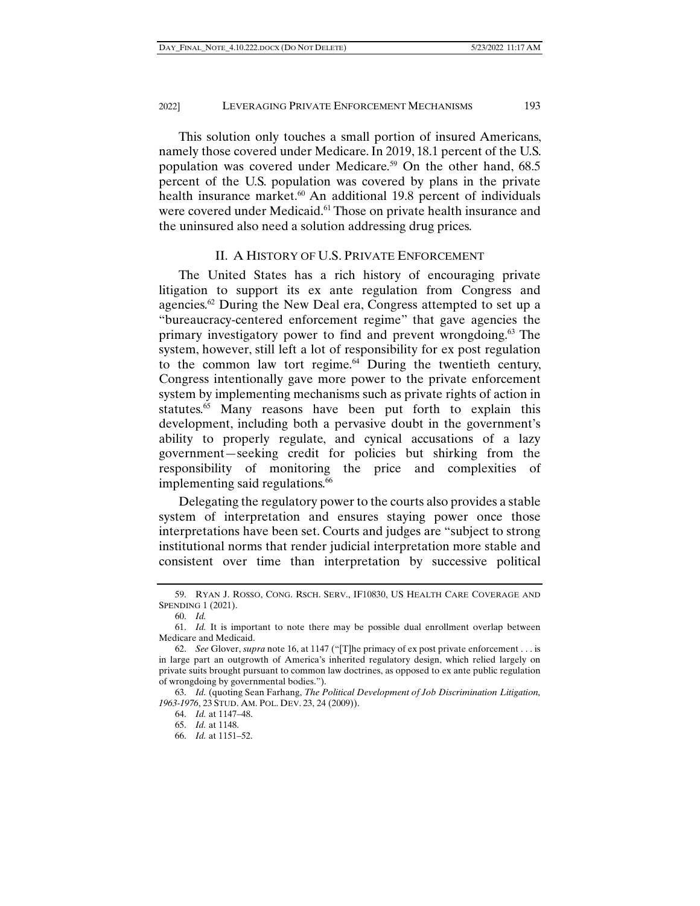This solution only touches a small portion of insured Americans, namely those covered under Medicare. In 2019, 18.1 percent of the U.S. population was covered under Medicare.<sup>59</sup> On the other hand,  $68.5$ percent of the U.S. population was covered by plans in the private health insurance market.<sup>60</sup> An additional 19.8 percent of individuals were covered under Medicaid.<sup>61</sup> Those on private health insurance and the uninsured also need a solution addressing drug prices.

#### II. A HISTORY OF U.S. PRIVATE ENFORCEMENT

The United States has a rich history of encouraging private litigation to support its ex ante regulation from Congress and agencies.<sup>62</sup> During the New Deal era, Congress attempted to set up a "bureaucracy-centered enforcement regime" that gave agencies the primary investigatory power to find and prevent wrongdoing.<sup>63</sup> The system, however, still left a lot of responsibility for ex post regulation to the common law tort regime.<sup>64</sup> During the twentieth century, Congress intentionally gave more power to the private enforcement system by implementing mechanisms such as private rights of action in statutes.<sup>65</sup> Many reasons have been put forth to explain this development, including both a pervasive doubt in the government's ability to properly regulate, and cynical accusations of a lazy government—seeking credit for policies but shirking from the responsibility of monitoring the price and complexities of implementing said regulations.<sup>66</sup>

Delegating the regulatory power to the courts also provides a stable system of interpretation and ensures staying power once those interpretations have been set. Courts and judges are "subject to strong institutional norms that render judicial interpretation more stable and consistent over time than interpretation by successive political

 <sup>59.</sup> RYAN J. ROSSO, CONG. RSCH. SERV., IF10830, US HEALTH CARE COVERAGE AND SPENDING 1 (2021).

 <sup>60.</sup> *Id.* 

 <sup>61.</sup> *Id.* It is important to note there may be possible dual enrollment overlap between Medicare and Medicaid.

 <sup>62.</sup> *See* Glover, *supra* note 16, at 1147 ("[T]he primacy of ex post private enforcement . . . is in large part an outgrowth of America's inherited regulatory design, which relied largely on private suits brought pursuant to common law doctrines, as opposed to ex ante public regulation of wrongdoing by governmental bodies.").

 <sup>63.</sup> *Id.* (quoting Sean Farhang, *The Political Development of Job Discrimination Litigation, 1963-1976*, 23 STUD. AM. POL. DEV. 23, 24 (2009)).

 <sup>64.</sup> *Id.* at 1147–48.

 <sup>65.</sup> *Id.* at 1148.

 <sup>66.</sup> *Id.* at 1151–52.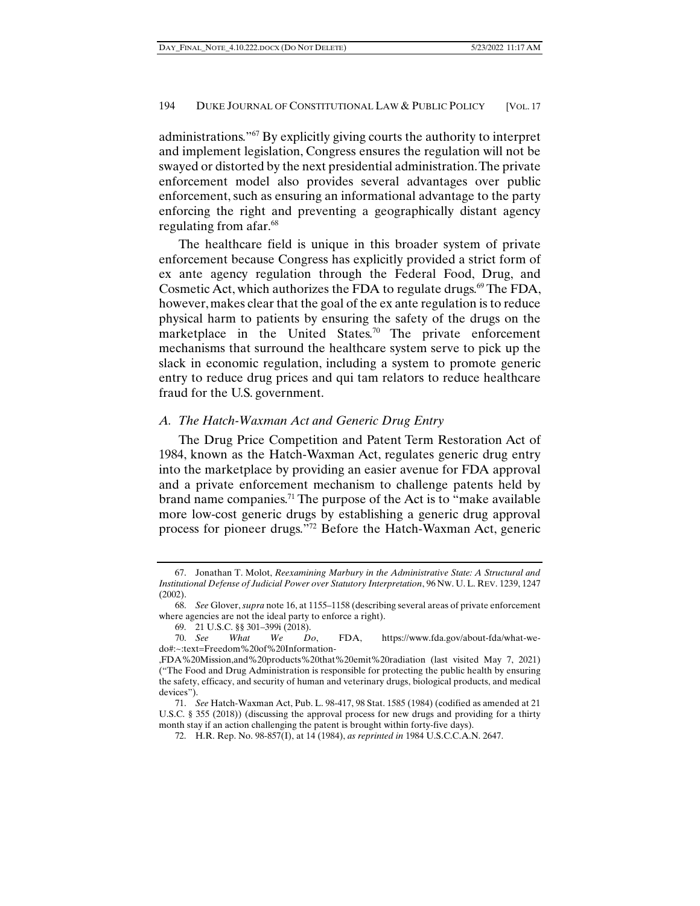administrations."67 By explicitly giving courts the authority to interpret and implement legislation, Congress ensures the regulation will not be swayed or distorted by the next presidential administration. The private enforcement model also provides several advantages over public enforcement, such as ensuring an informational advantage to the party enforcing the right and preventing a geographically distant agency regulating from afar.<sup>68</sup>

The healthcare field is unique in this broader system of private enforcement because Congress has explicitly provided a strict form of ex ante agency regulation through the Federal Food, Drug, and Cosmetic Act, which authorizes the FDA to regulate drugs.<sup>69</sup> The FDA, however, makes clear that the goal of the ex ante regulation is to reduce physical harm to patients by ensuring the safety of the drugs on the marketplace in the United States.<sup>70</sup> The private enforcement mechanisms that surround the healthcare system serve to pick up the slack in economic regulation, including a system to promote generic entry to reduce drug prices and qui tam relators to reduce healthcare fraud for the U.S. government.

#### *A. The Hatch-Waxman Act and Generic Drug Entry*

The Drug Price Competition and Patent Term Restoration Act of 1984, known as the Hatch-Waxman Act, regulates generic drug entry into the marketplace by providing an easier avenue for FDA approval and a private enforcement mechanism to challenge patents held by brand name companies.71 The purpose of the Act is to "make available more low-cost generic drugs by establishing a generic drug approval process for pioneer drugs."72 Before the Hatch-Waxman Act, generic

 <sup>67.</sup> Jonathan T. Molot, *Reexamining Marbury in the Administrative State: A Structural and Institutional Defense of Judicial Power over Statutory Interpretation*, 96 NW. U. L. REV. 1239, 1247 (2002).

 <sup>68.</sup> *See* Glover, *supra* note 16, at 1155–1158 (describing several areas of private enforcement where agencies are not the ideal party to enforce a right).

 <sup>69. 21</sup> U.S.C. §§ 301–399i (2018).

 <sup>70.</sup> *See What We Do*, FDA, https://www.fda.gov/about-fda/what-wedo#:~:text=Freedom%20of%20Information-

<sup>,</sup>FDA%20Mission,and%20products%20that%20emit%20radiation (last visited May 7, 2021) ("The Food and Drug Administration is responsible for protecting the public health by ensuring the safety, efficacy, and security of human and veterinary drugs, biological products, and medical devices").

 <sup>71.</sup> *See* Hatch-Waxman Act, Pub. L. 98-417, 98 Stat. 1585 (1984) (codified as amended at 21 U.S.C. § 355 (2018)) (discussing the approval process for new drugs and providing for a thirty month stay if an action challenging the patent is brought within forty-five days).

 <sup>72.</sup> H.R. Rep. No. 98-857(I), at 14 (1984), *as reprinted in* 1984 U.S.C.C.A.N. 2647.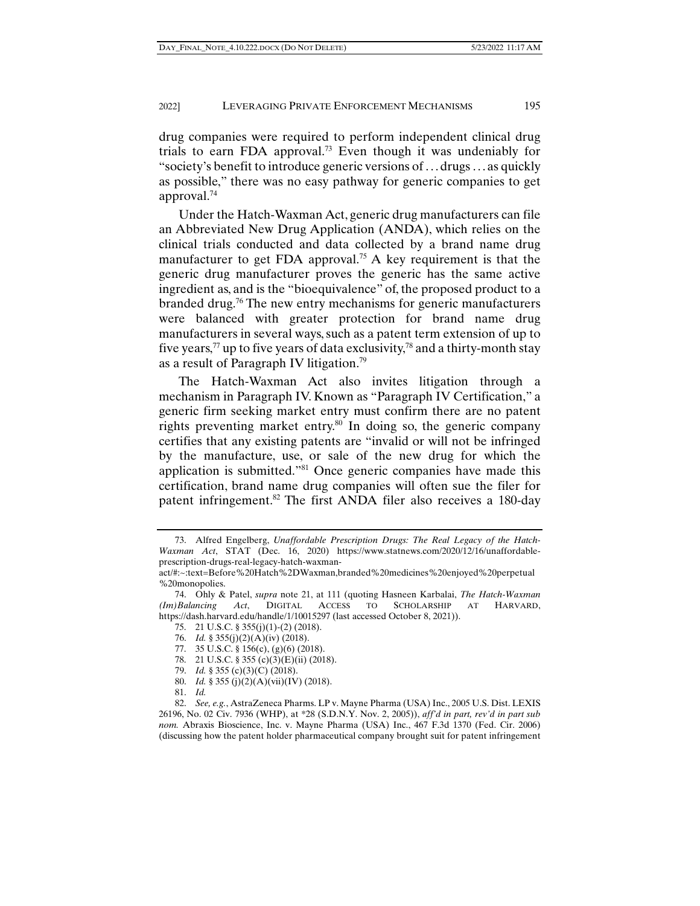drug companies were required to perform independent clinical drug trials to earn FDA approval.<sup>73</sup> Even though it was undeniably for "society's benefit to introduce generic versions of . . . drugs . . . as quickly as possible," there was no easy pathway for generic companies to get approval.74

Under the Hatch-Waxman Act, generic drug manufacturers can file an Abbreviated New Drug Application (ANDA), which relies on the clinical trials conducted and data collected by a brand name drug manufacturer to get FDA approval.<sup>75</sup> A key requirement is that the generic drug manufacturer proves the generic has the same active ingredient as, and is the "bioequivalence" of, the proposed product to a branded drug.76 The new entry mechanisms for generic manufacturers were balanced with greater protection for brand name drug manufacturers in several ways, such as a patent term extension of up to five years,<sup>77</sup> up to five years of data exclusivity,<sup>78</sup> and a thirty-month stay as a result of Paragraph IV litigation.79

The Hatch-Waxman Act also invites litigation through a mechanism in Paragraph IV. Known as "Paragraph IV Certification," a generic firm seeking market entry must confirm there are no patent rights preventing market entry.80 In doing so, the generic company certifies that any existing patents are "invalid or will not be infringed by the manufacture, use, or sale of the new drug for which the application is submitted."81 Once generic companies have made this certification, brand name drug companies will often sue the filer for patent infringement.<sup>82</sup> The first ANDA filer also receives a 180-day

- 75. 21 U.S.C. § 355(j)(1)-(2) (2018).
- 76. *Id.* § 355(j)(2)(A)(iv) (2018).
- 77. 35 U.S.C. § 156(c), (g)(6) (2018).
- 78. 21 U.S.C. § 355 (c)(3)(E)(ii) (2018).
- 79. *Id.* § 355 (c)(3)(C) (2018).
- 80. *Id.* § 355 (j)(2)(A)(vii)(IV) (2018).
- 81. *Id.*

 <sup>73.</sup> Alfred Engelberg, *Unaffordable Prescription Drugs: The Real Legacy of the Hatch-Waxman Act*, STAT (Dec. 16, 2020) https://www.statnews.com/2020/12/16/unaffordableprescription-drugs-real-legacy-hatch-waxman-

act/#:~:text=Before%20Hatch%2DWaxman,branded%20medicines%20enjoyed%20perpetual %20monopolies.

 <sup>74.</sup> Ohly & Patel, *supra* note 21, at 111 (quoting Hasneen Karbalai, *The Hatch-Waxman (Im)Balancing Act*, DIGITAL ACCESS TO SCHOLARSHIP AT HARVARD, https://dash.harvard.edu/handle/1/10015297 (last accessed October 8, 2021)).

 <sup>82.</sup> *See, e.g.*, AstraZeneca Pharms. LP v. Mayne Pharma (USA) Inc., 2005 U.S. Dist. LEXIS 26196, No. 02 Civ. 7936 (WHP), at \*28 (S.D.N.Y. Nov. 2, 2005)), *aff'd in part, rev'd in part sub nom.* Abraxis Bioscience, Inc. v. Mayne Pharma (USA) Inc., 467 F.3d 1370 (Fed. Cir. 2006) (discussing how the patent holder pharmaceutical company brought suit for patent infringement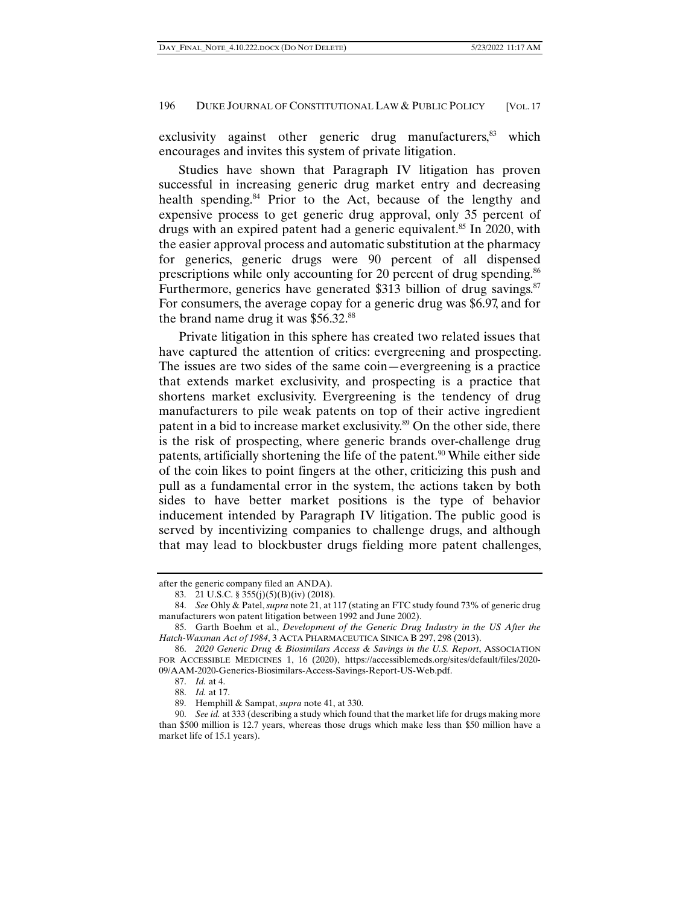exclusivity against other generic drug manufacturers,<sup>83</sup> which encourages and invites this system of private litigation.

Studies have shown that Paragraph IV litigation has proven successful in increasing generic drug market entry and decreasing health spending.<sup>84</sup> Prior to the Act, because of the lengthy and expensive process to get generic drug approval, only 35 percent of drugs with an expired patent had a generic equivalent.<sup>85</sup> In 2020, with the easier approval process and automatic substitution at the pharmacy for generics, generic drugs were 90 percent of all dispensed prescriptions while only accounting for 20 percent of drug spending.<sup>86</sup> Furthermore, generics have generated \$313 billion of drug savings.<sup>87</sup> For consumers, the average copay for a generic drug was \$6.97, and for the brand name drug it was \$56.32.<sup>88</sup>

Private litigation in this sphere has created two related issues that have captured the attention of critics: evergreening and prospecting. The issues are two sides of the same coin—evergreening is a practice that extends market exclusivity, and prospecting is a practice that shortens market exclusivity. Evergreening is the tendency of drug manufacturers to pile weak patents on top of their active ingredient patent in a bid to increase market exclusivity.<sup>89</sup> On the other side, there is the risk of prospecting, where generic brands over-challenge drug patents, artificially shortening the life of the patent.<sup>90</sup> While either side of the coin likes to point fingers at the other, criticizing this push and pull as a fundamental error in the system, the actions taken by both sides to have better market positions is the type of behavior inducement intended by Paragraph IV litigation. The public good is served by incentivizing companies to challenge drugs, and although that may lead to blockbuster drugs fielding more patent challenges,

after the generic company filed an ANDA).

 <sup>83. 21</sup> U.S.C. § 355(j)(5)(B)(iv) (2018).

 <sup>84.</sup> *See* Ohly & Patel, *supra* note 21, at 117 (stating an FTC study found 73% of generic drug manufacturers won patent litigation between 1992 and June 2002).

 <sup>85.</sup> Garth Boehm et al., *Development of the Generic Drug Industry in the US After the Hatch-Waxman Act of 1984*, 3 ACTA PHARMACEUTICA SINICA B 297, 298 (2013).

 <sup>86.</sup> *2020 Generic Drug & Biosimilars Access & Savings in the U.S. Report*, ASSOCIATION FOR ACCESSIBLE MEDICINES 1, 16 (2020), https://accessiblemeds.org/sites/default/files/2020- 09/AAM-2020-Generics-Biosimilars-Access-Savings-Report-US-Web.pdf.

 <sup>87.</sup> *Id.* at 4.

 <sup>88.</sup> *Id.* at 17.

 <sup>89.</sup> Hemphill & Sampat, *supra* note 41, at 330.

 <sup>90.</sup> *See id.* at 333 (describing a study which found that the market life for drugs making more than \$500 million is 12.7 years, whereas those drugs which make less than \$50 million have a market life of 15.1 years).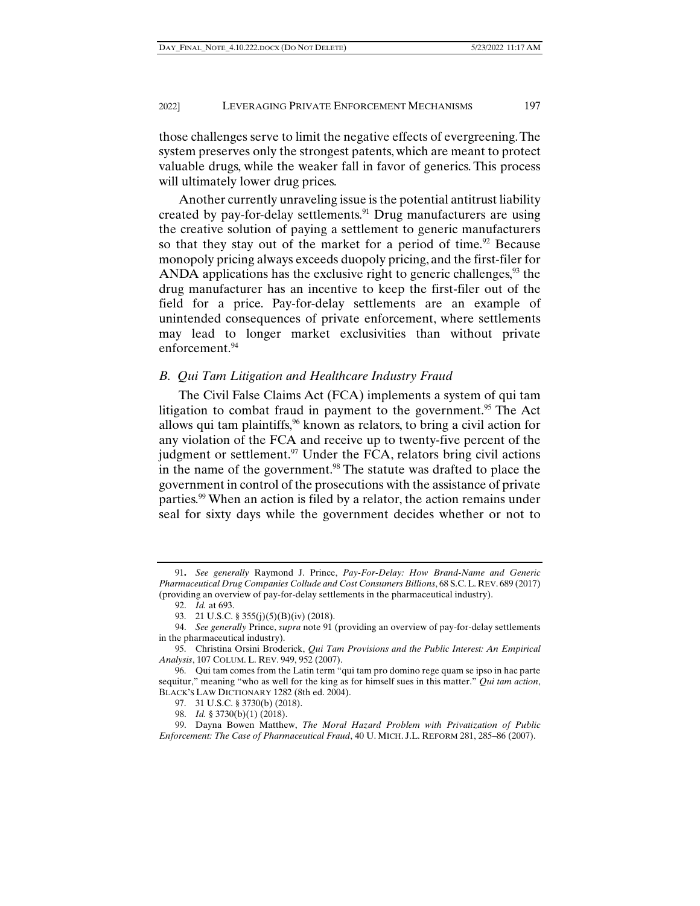those challenges serve to limit the negative effects of evergreening. The system preserves only the strongest patents, which are meant to protect valuable drugs, while the weaker fall in favor of generics. This process will ultimately lower drug prices.

Another currently unraveling issue is the potential antitrust liability created by pay-for-delay settlements.<sup>91</sup> Drug manufacturers are using the creative solution of paying a settlement to generic manufacturers so that they stay out of the market for a period of time.<sup>92</sup> Because monopoly pricing always exceeds duopoly pricing, and the first-filer for ANDA applications has the exclusive right to generic challenges, $93$  the drug manufacturer has an incentive to keep the first-filer out of the field for a price. Pay-for-delay settlements are an example of unintended consequences of private enforcement, where settlements may lead to longer market exclusivities than without private enforcement.<sup>94</sup>

#### *B. Qui Tam Litigation and Healthcare Industry Fraud*

The Civil False Claims Act (FCA) implements a system of qui tam litigation to combat fraud in payment to the government.<sup>95</sup> The Act allows qui tam plaintiffs,96 known as relators, to bring a civil action for any violation of the FCA and receive up to twenty-five percent of the judgment or settlement. $97$  Under the FCA, relators bring civil actions in the name of the government.<sup>98</sup> The statute was drafted to place the government in control of the prosecutions with the assistance of private parties.99 When an action is filed by a relator, the action remains under seal for sixty days while the government decides whether or not to

<sup>91</sup>**.** *See generally* Raymond J. Prince, *Pay-For-Delay: How Brand-Name and Generic Pharmaceutical Drug Companies Collude and Cost Consumers Billions*, 68 S.C.L. REV. 689 (2017) (providing an overview of pay-for-delay settlements in the pharmaceutical industry).

 <sup>92.</sup> *Id.* at 693.

<sup>93. 21</sup> U.S.C. § 355(j)(5)(B)(iv) (2018).

 <sup>94.</sup> *See generally* Prince, *supra* note 91 (providing an overview of pay-for-delay settlements in the pharmaceutical industry).

 <sup>95.</sup> Christina Orsini Broderick, *Qui Tam Provisions and the Public Interest: An Empirical Analysis*, 107 COLUM. L. REV. 949, 952 (2007).

 <sup>96.</sup> Qui tam comes from the Latin term "qui tam pro domino rege quam se ipso in hac parte sequitur," meaning "who as well for the king as for himself sues in this matter." *Qui tam action*, BLACK'S LAW DICTIONARY 1282 (8th ed. 2004).

 <sup>97. 31</sup> U.S.C. § 3730(b) (2018).

 <sup>98.</sup> *Id.* § 3730(b)(1) (2018).

 <sup>99.</sup> Dayna Bowen Matthew, *The Moral Hazard Problem with Privatization of Public Enforcement: The Case of Pharmaceutical Fraud*, 40 U. MICH. J.L. REFORM 281, 285–86 (2007).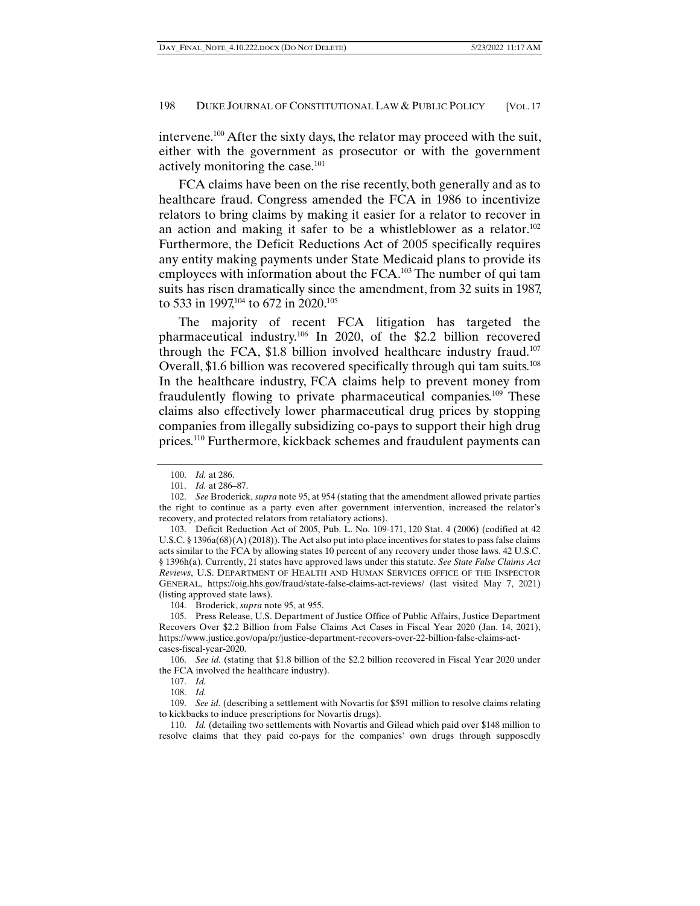intervene.100 After the sixty days, the relator may proceed with the suit, either with the government as prosecutor or with the government actively monitoring the case.101

FCA claims have been on the rise recently, both generally and as to healthcare fraud. Congress amended the FCA in 1986 to incentivize relators to bring claims by making it easier for a relator to recover in an action and making it safer to be a whistleblower as a relator.<sup>102</sup> Furthermore, the Deficit Reductions Act of 2005 specifically requires any entity making payments under State Medicaid plans to provide its employees with information about the FCA.<sup>103</sup> The number of qui tam suits has risen dramatically since the amendment, from 32 suits in 1987, to 533 in 1997,<sup>104</sup> to 672 in 2020.<sup>105</sup>

The majority of recent FCA litigation has targeted the pharmaceutical industry.106 In 2020, of the \$2.2 billion recovered through the FCA, \$1.8 billion involved healthcare industry fraud.107 Overall, \$1.6 billion was recovered specifically through qui tam suits.108 In the healthcare industry, FCA claims help to prevent money from fraudulently flowing to private pharmaceutical companies.109 These claims also effectively lower pharmaceutical drug prices by stopping companies from illegally subsidizing co-pays to support their high drug prices.<sup>110</sup> Furthermore, kickback schemes and fraudulent payments can

 <sup>100.</sup> *Id.* at 286.

 <sup>101.</sup> *Id.* at 286–87.

 <sup>102.</sup> *See* Broderick, *supra* note 95, at 954 (stating that the amendment allowed private parties the right to continue as a party even after government intervention, increased the relator's recovery, and protected relators from retaliatory actions).

 <sup>103.</sup> Deficit Reduction Act of 2005, Pub. L. No. 109-171, 120 Stat. 4 (2006) (codified at 42 U.S.C. § 1396a(68)(A) (2018)). The Act also put into place incentives for states to pass false claims acts similar to the FCA by allowing states 10 percent of any recovery under those laws. 42 U.S.C. § 1396h(a). Currently, 21 states have approved laws under this statute. *See State False Claims Act Reviews*, U.S. DEPARTMENT OF HEALTH AND HUMAN SERVICES OFFICE OF THE INSPECTOR GENERAL, https://oig.hhs.gov/fraud/state-false-claims-act-reviews/ (last visited May 7, 2021) (listing approved state laws).

 <sup>104.</sup> Broderick, *supra* note 95, at 955.

 <sup>105.</sup> Press Release, U.S. Department of Justice Office of Public Affairs, Justice Department Recovers Over \$2.2 Billion from False Claims Act Cases in Fiscal Year 2020 (Jan. 14, 2021), https://www.justice.gov/opa/pr/justice-department-recovers-over-22-billion-false-claims-actcases-fiscal-year-2020.

 <sup>106.</sup> *See id.* (stating that \$1.8 billion of the \$2.2 billion recovered in Fiscal Year 2020 under the FCA involved the healthcare industry).

 <sup>107.</sup> *Id.*

 <sup>108.</sup> *Id.* 

 <sup>109.</sup> *See id.* (describing a settlement with Novartis for \$591 million to resolve claims relating to kickbacks to induce prescriptions for Novartis drugs).

 <sup>110.</sup> *Id.* (detailing two settlements with Novartis and Gilead which paid over \$148 million to resolve claims that they paid co-pays for the companies' own drugs through supposedly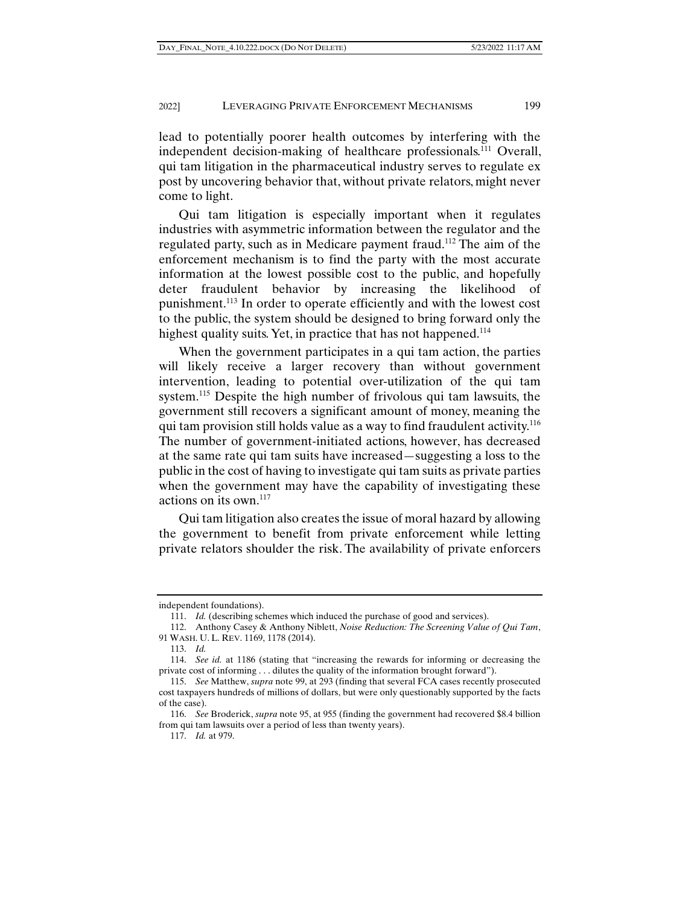lead to potentially poorer health outcomes by interfering with the independent decision-making of healthcare professionals.<sup>111</sup> Overall, qui tam litigation in the pharmaceutical industry serves to regulate ex post by uncovering behavior that, without private relators, might never come to light.

Qui tam litigation is especially important when it regulates industries with asymmetric information between the regulator and the regulated party, such as in Medicare payment fraud.112 The aim of the enforcement mechanism is to find the party with the most accurate information at the lowest possible cost to the public, and hopefully deter fraudulent behavior by increasing the likelihood of punishment.113 In order to operate efficiently and with the lowest cost to the public, the system should be designed to bring forward only the highest quality suits. Yet, in practice that has not happened.<sup>114</sup>

When the government participates in a qui tam action, the parties will likely receive a larger recovery than without government intervention, leading to potential over-utilization of the qui tam system.<sup>115</sup> Despite the high number of frivolous qui tam lawsuits, the government still recovers a significant amount of money, meaning the qui tam provision still holds value as a way to find fraudulent activity.<sup>116</sup> The number of government-initiated actions, however, has decreased at the same rate qui tam suits have increased—suggesting a loss to the public in the cost of having to investigate qui tam suits as private parties when the government may have the capability of investigating these actions on its own.117

Qui tam litigation also creates the issue of moral hazard by allowing the government to benefit from private enforcement while letting private relators shoulder the risk. The availability of private enforcers

independent foundations).

 <sup>111.</sup> *Id.* (describing schemes which induced the purchase of good and services).

 <sup>112.</sup> Anthony Casey & Anthony Niblett, *Noise Reduction: The Screening Value of Qui Tam*, 91 WASH. U. L. REV. 1169, 1178 (2014).

 <sup>113.</sup> *Id.*

 <sup>114.</sup> *See id.* at 1186 (stating that "increasing the rewards for informing or decreasing the private cost of informing . . . dilutes the quality of the information brought forward").

 <sup>115.</sup> *See* Matthew, *supra* note 99, at 293 (finding that several FCA cases recently prosecuted cost taxpayers hundreds of millions of dollars, but were only questionably supported by the facts of the case).

 <sup>116.</sup> *See* Broderick, *supra* note 95, at 955 (finding the government had recovered \$8.4 billion from qui tam lawsuits over a period of less than twenty years).

 <sup>117.</sup> *Id.* at 979.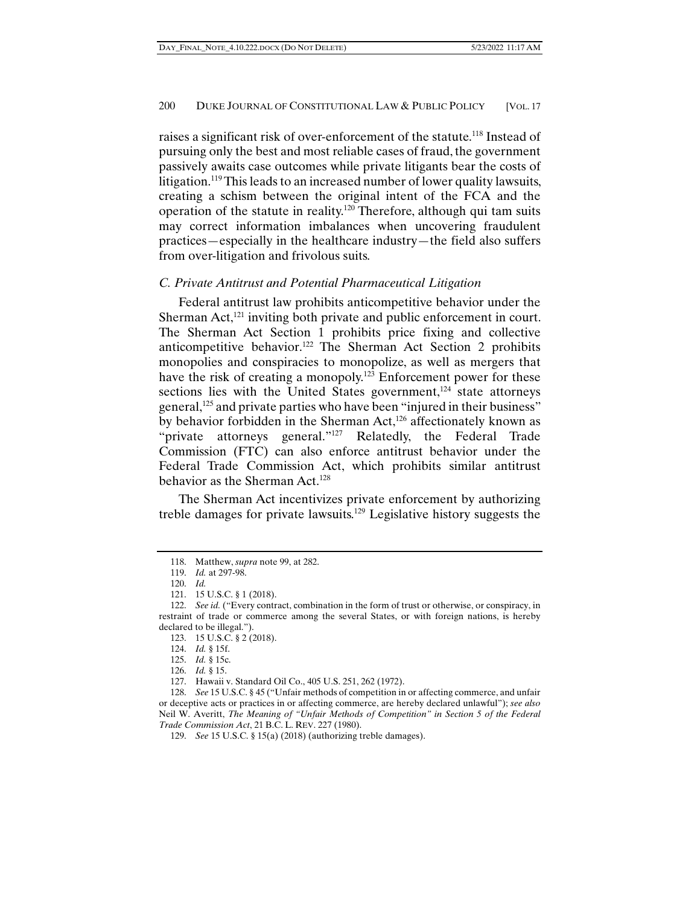raises a significant risk of over-enforcement of the statute.<sup>118</sup> Instead of pursuing only the best and most reliable cases of fraud, the government passively awaits case outcomes while private litigants bear the costs of litigation.<sup>119</sup> This leads to an increased number of lower quality lawsuits, creating a schism between the original intent of the FCA and the operation of the statute in reality.120 Therefore, although qui tam suits may correct information imbalances when uncovering fraudulent practices—especially in the healthcare industry—the field also suffers from over-litigation and frivolous suits.

#### *C. Private Antitrust and Potential Pharmaceutical Litigation*

Federal antitrust law prohibits anticompetitive behavior under the Sherman Act, $^{121}$  inviting both private and public enforcement in court. The Sherman Act Section 1 prohibits price fixing and collective anticompetitive behavior.122 The Sherman Act Section 2 prohibits monopolies and conspiracies to monopolize, as well as mergers that have the risk of creating a monopoly.<sup>123</sup> Enforcement power for these sections lies with the United States government, $124$  state attorneys general,<sup>125</sup> and private parties who have been "injured in their business" by behavior forbidden in the Sherman Act,<sup>126</sup> affectionately known as "private attorneys general."<sup>127</sup> Relatedly, the Federal Trade Commission (FTC) can also enforce antitrust behavior under the Federal Trade Commission Act, which prohibits similar antitrust behavior as the Sherman Act.<sup>128</sup>

The Sherman Act incentivizes private enforcement by authorizing treble damages for private lawsuits.129 Legislative history suggests the

 <sup>118.</sup> Matthew, *supra* note 99, at 282.

 <sup>119.</sup> *Id.* at 297-98.

 <sup>120.</sup> *Id.* 

 <sup>121. 15</sup> U.S.C. § 1 (2018).

 <sup>122.</sup> *See id.* ("Every contract, combination in the form of trust or otherwise, or conspiracy, in restraint of trade or commerce among the several States, or with foreign nations, is hereby declared to be illegal.").

 <sup>123. 15</sup> U.S.C. § 2 (2018).

 <sup>124.</sup> *Id.* § 15f.

 <sup>125.</sup> *Id.* § 15c.

 <sup>126.</sup> *Id.* § 15.

 <sup>127.</sup> Hawaii v. Standard Oil Co., 405 U.S. 251, 262 (1972).

 <sup>128.</sup> *See* 15 U.S.C. § 45 ("Unfair methods of competition in or affecting commerce, and unfair or deceptive acts or practices in or affecting commerce, are hereby declared unlawful"); *see also* Neil W. Averitt, *The Meaning of "Unfair Methods of Competition" in Section 5 of the Federal Trade Commission Act*, 21 B.C. L. REV. 227 (1980).

 <sup>129.</sup> *See* 15 U.S.C. § 15(a) (2018) (authorizing treble damages).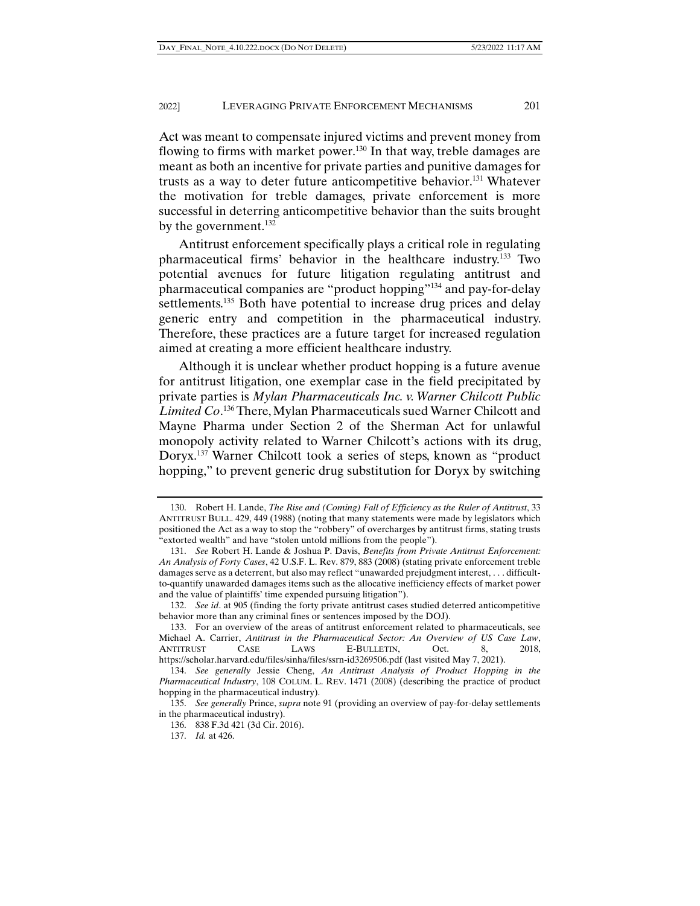Act was meant to compensate injured victims and prevent money from flowing to firms with market power.<sup>130</sup> In that way, treble damages are meant as both an incentive for private parties and punitive damages for trusts as a way to deter future anticompetitive behavior.131 Whatever the motivation for treble damages, private enforcement is more successful in deterring anticompetitive behavior than the suits brought by the government. $132$ 

Antitrust enforcement specifically plays a critical role in regulating pharmaceutical firms' behavior in the healthcare industry.133 Two potential avenues for future litigation regulating antitrust and pharmaceutical companies are "product hopping"134 and pay-for-delay settlements.<sup>135</sup> Both have potential to increase drug prices and delay generic entry and competition in the pharmaceutical industry. Therefore, these practices are a future target for increased regulation aimed at creating a more efficient healthcare industry.

Although it is unclear whether product hopping is a future avenue for antitrust litigation, one exemplar case in the field precipitated by private parties is *Mylan Pharmaceuticals Inc. v. Warner Chilcott Public Limited Co*. 136 There, Mylan Pharmaceuticals sued Warner Chilcott and Mayne Pharma under Section 2 of the Sherman Act for unlawful monopoly activity related to Warner Chilcott's actions with its drug, Doryx.137 Warner Chilcott took a series of steps, known as "product hopping," to prevent generic drug substitution for Doryx by switching

 <sup>130.</sup> Robert H. Lande, *The Rise and (Coming) Fall of Efficiency as the Ruler of Antitrust*, 33 ANTITRUST BULL. 429, 449 (1988) (noting that many statements were made by legislators which positioned the Act as a way to stop the "robbery" of overcharges by antitrust firms, stating trusts "extorted wealth" and have "stolen untold millions from the people").

 <sup>131.</sup> *See* Robert H. Lande & Joshua P. Davis, *Benefits from Private Antitrust Enforcement: An Analysis of Forty Cases*, 42 U.S.F. L. Rev. 879, 883 (2008) (stating private enforcement treble damages serve as a deterrent, but also may reflect "unawarded prejudgment interest, . . . difficultto-quantify unawarded damages items such as the allocative inefficiency effects of market power and the value of plaintiffs' time expended pursuing litigation").

 <sup>132.</sup> *See id*. at 905 (finding the forty private antitrust cases studied deterred anticompetitive behavior more than any criminal fines or sentences imposed by the DOJ).

 <sup>133.</sup> For an overview of the areas of antitrust enforcement related to pharmaceuticals, see Michael A. Carrier, *Antitrust in the Pharmaceutical Sector: An Overview of US Case Law*, CASE LAWS E-BULLETIN, Oct. 8, 2018, https://scholar.harvard.edu/files/sinha/files/ssrn-id3269506.pdf (last visited May 7, 2021).

 <sup>134.</sup> *See generally* Jessie Cheng, *An Antitrust Analysis of Product Hopping in the Pharmaceutical Industry*, 108 COLUM. L. REV. 1471 (2008) (describing the practice of product hopping in the pharmaceutical industry).

 <sup>135.</sup> *See generally* Prince, *supra* note 91 (providing an overview of pay-for-delay settlements in the pharmaceutical industry).

 <sup>136. 838</sup> F.3d 421 (3d Cir. 2016).

 <sup>137.</sup> *Id.* at 426.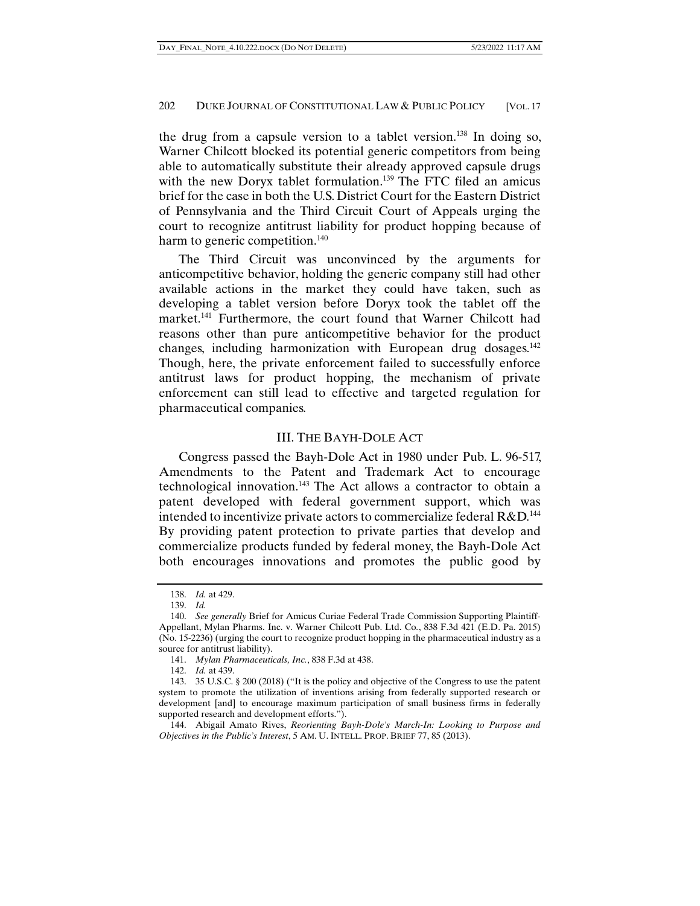the drug from a capsule version to a tablet version.138 In doing so, Warner Chilcott blocked its potential generic competitors from being able to automatically substitute their already approved capsule drugs with the new Doryx tablet formulation.<sup>139</sup> The FTC filed an amicus brief for the case in both the U.S. District Court for the Eastern District of Pennsylvania and the Third Circuit Court of Appeals urging the court to recognize antitrust liability for product hopping because of harm to generic competition.<sup>140</sup>

The Third Circuit was unconvinced by the arguments for anticompetitive behavior, holding the generic company still had other available actions in the market they could have taken, such as developing a tablet version before Doryx took the tablet off the market.<sup>141</sup> Furthermore, the court found that Warner Chilcott had reasons other than pure anticompetitive behavior for the product changes, including harmonization with European drug dosages.<sup>142</sup> Though, here, the private enforcement failed to successfully enforce antitrust laws for product hopping, the mechanism of private enforcement can still lead to effective and targeted regulation for pharmaceutical companies.

# III. THE BAYH-DOLE ACT

Congress passed the Bayh-Dole Act in 1980 under Pub. L. 96-517, Amendments to the Patent and Trademark Act to encourage technological innovation.143 The Act allows a contractor to obtain a patent developed with federal government support, which was intended to incentivize private actors to commercialize federal  $R&D$ <sup>144</sup> By providing patent protection to private parties that develop and commercialize products funded by federal money, the Bayh-Dole Act both encourages innovations and promotes the public good by

 <sup>138.</sup> *Id.* at 429.

 <sup>139.</sup> *Id.*

 <sup>140.</sup> *See generally* Brief for Amicus Curiae Federal Trade Commission Supporting Plaintiff-Appellant, Mylan Pharms. Inc. v. Warner Chilcott Pub. Ltd. Co*.*, 838 F.3d 421 (E.D. Pa. 2015) (No. 15-2236) (urging the court to recognize product hopping in the pharmaceutical industry as a source for antitrust liability).

 <sup>141.</sup> *Mylan Pharmaceuticals, Inc.*, 838 F.3d at 438.

 <sup>142.</sup> *Id.* at 439.

 <sup>143. 35</sup> U.S.C. § 200 (2018) ("It is the policy and objective of the Congress to use the patent system to promote the utilization of inventions arising from federally supported research or development [and] to encourage maximum participation of small business firms in federally supported research and development efforts.").

 <sup>144.</sup> Abigail Amato Rives, *Reorienting Bayh-Dole's March-In: Looking to Purpose and Objectives in the Public's Interest*, 5 AM. U. INTELL. PROP. BRIEF 77, 85 (2013).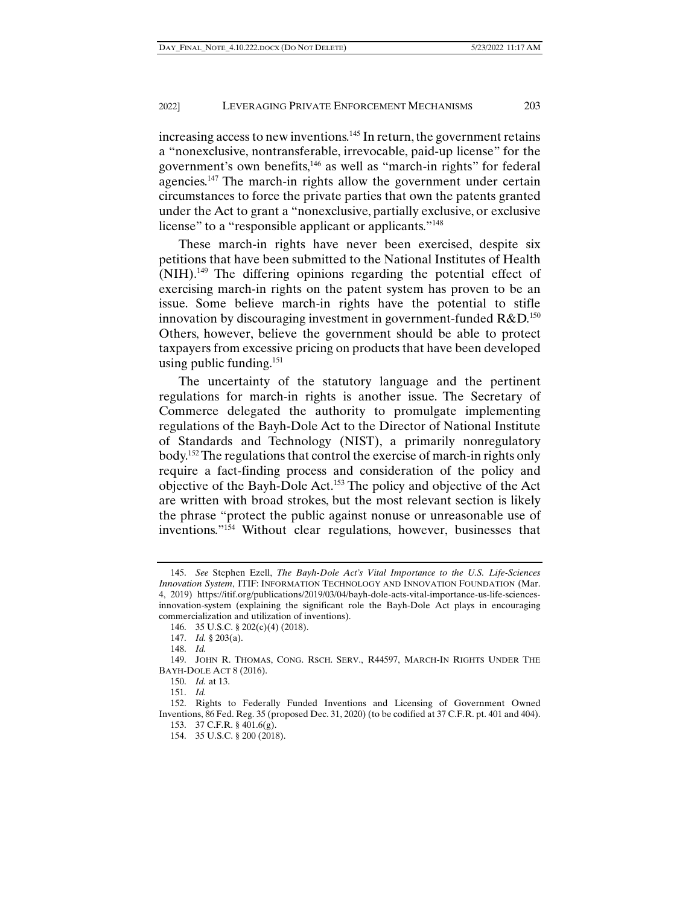increasing access to new inventions.<sup>145</sup> In return, the government retains a "nonexclusive, nontransferable, irrevocable, paid-up license" for the government's own benefits,146 as well as "march-in rights" for federal agencies.147 The march-in rights allow the government under certain circumstances to force the private parties that own the patents granted under the Act to grant a "nonexclusive, partially exclusive, or exclusive license" to a "responsible applicant or applicants."<sup>148</sup>

These march-in rights have never been exercised, despite six petitions that have been submitted to the National Institutes of Health (NIH).149 The differing opinions regarding the potential effect of exercising march-in rights on the patent system has proven to be an issue. Some believe march-in rights have the potential to stifle innovation by discouraging investment in government-funded  $R&D$ <sup>150</sup> Others, however, believe the government should be able to protect taxpayers from excessive pricing on products that have been developed using public funding. $151$ 

The uncertainty of the statutory language and the pertinent regulations for march-in rights is another issue. The Secretary of Commerce delegated the authority to promulgate implementing regulations of the Bayh-Dole Act to the Director of National Institute of Standards and Technology (NIST), a primarily nonregulatory body.152 The regulations that control the exercise of march-in rights only require a fact-finding process and consideration of the policy and objective of the Bayh-Dole Act.153 The policy and objective of the Act are written with broad strokes, but the most relevant section is likely the phrase "protect the public against nonuse or unreasonable use of inventions."154 Without clear regulations, however, businesses that

 <sup>145.</sup> *See* Stephen Ezell, *The Bayh-Dole Act's Vital Importance to the U.S. Life-Sciences Innovation System*, ITIF: INFORMATION TECHNOLOGY AND INNOVATION FOUNDATION (Mar. 4, 2019) https://itif.org/publications/2019/03/04/bayh-dole-acts-vital-importance-us-life-sciencesinnovation-system (explaining the significant role the Bayh-Dole Act plays in encouraging commercialization and utilization of inventions).

 <sup>146. 35</sup> U.S.C. § 202(c)(4) (2018).

 <sup>147.</sup> *Id.* § 203(a).

 <sup>148.</sup> *Id.*

 <sup>149.</sup> JOHN R. THOMAS, CONG. RSCH. SERV., R44597, MARCH-IN RIGHTS UNDER THE BAYH-DOLE ACT 8 (2016).

 <sup>150.</sup> *Id.* at 13.

 <sup>151.</sup> *Id.*

 <sup>152.</sup> Rights to Federally Funded Inventions and Licensing of Government Owned Inventions, 86 Fed. Reg. 35 (proposed Dec. 31, 2020) (to be codified at 37 C.F.R. pt. 401 and 404). 153. 37 C.F.R. § 401.6(g).

 <sup>154. 35</sup> U.S.C. § 200 (2018).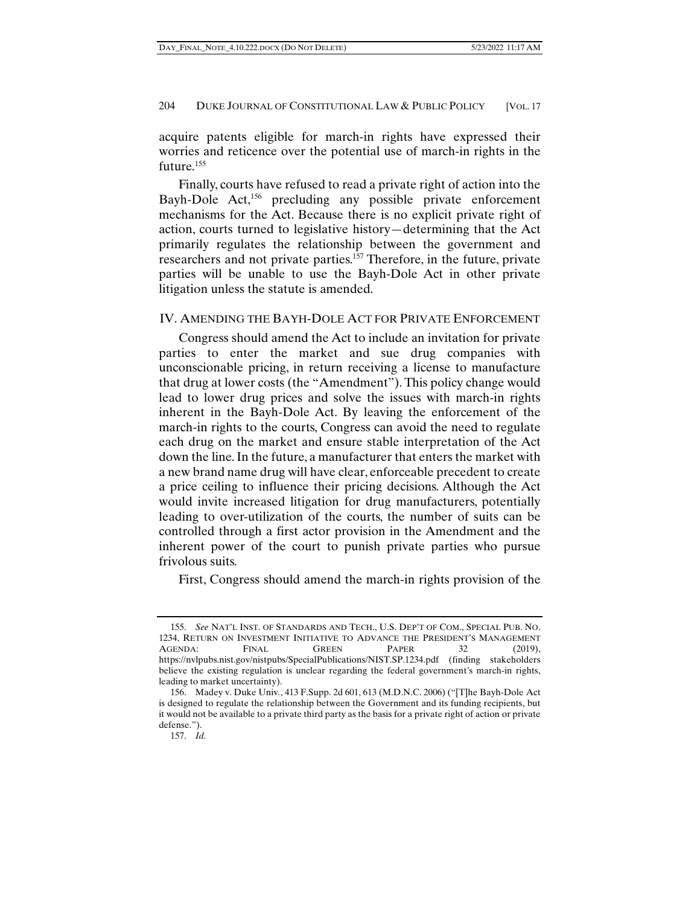acquire patents eligible for march-in rights have expressed their worries and reticence over the potential use of march-in rights in the future.<sup>155</sup>

Finally, courts have refused to read a private right of action into the Bayh-Dole Act,<sup>156</sup> precluding any possible private enforcement mechanisms for the Act. Because there is no explicit private right of action, courts turned to legislative history—determining that the Act primarily regulates the relationship between the government and researchers and not private parties.157 Therefore, in the future, private parties will be unable to use the Bayh-Dole Act in other private litigation unless the statute is amended.

# IV. AMENDING THE BAYH-DOLE ACT FOR PRIVATE ENFORCEMENT

Congress should amend the Act to include an invitation for private parties to enter the market and sue drug companies with unconscionable pricing, in return receiving a license to manufacture that drug at lower costs (the "Amendment"). This policy change would lead to lower drug prices and solve the issues with march-in rights inherent in the Bayh-Dole Act. By leaving the enforcement of the march-in rights to the courts, Congress can avoid the need to regulate each drug on the market and ensure stable interpretation of the Act down the line. In the future, a manufacturer that enters the market with a new brand name drug will have clear, enforceable precedent to create a price ceiling to influence their pricing decisions. Although the Act would invite increased litigation for drug manufacturers, potentially leading to over-utilization of the courts, the number of suits can be controlled through a first actor provision in the Amendment and the inherent power of the court to punish private parties who pursue frivolous suits.

First, Congress should amend the march-in rights provision of the

 <sup>155.</sup> *See* NAT'L INST. OF STANDARDS AND TECH., U.S. DEP'T OF COM., SPECIAL PUB. NO. 1234, RETURN ON INVESTMENT INITIATIVE TO ADVANCE THE PRESIDENT'S MANAGEMENT AGENDA: FINAL GREEN PAPER 32 (2019), https://nvlpubs.nist.gov/nistpubs/SpecialPublications/NIST.SP.1234.pdf (finding stakeholders believe the existing regulation is unclear regarding the federal government's march-in rights, leading to market uncertainty).

 <sup>156.</sup> Madey v. Duke Univ*.*, 413 F.Supp. 2d 601, 613 (M.D.N.C. 2006) ("[T]he Bayh-Dole Act is designed to regulate the relationship between the Government and its funding recipients, but it would not be available to a private third party as the basis for a private right of action or private defense.").

 <sup>157.</sup> *Id.*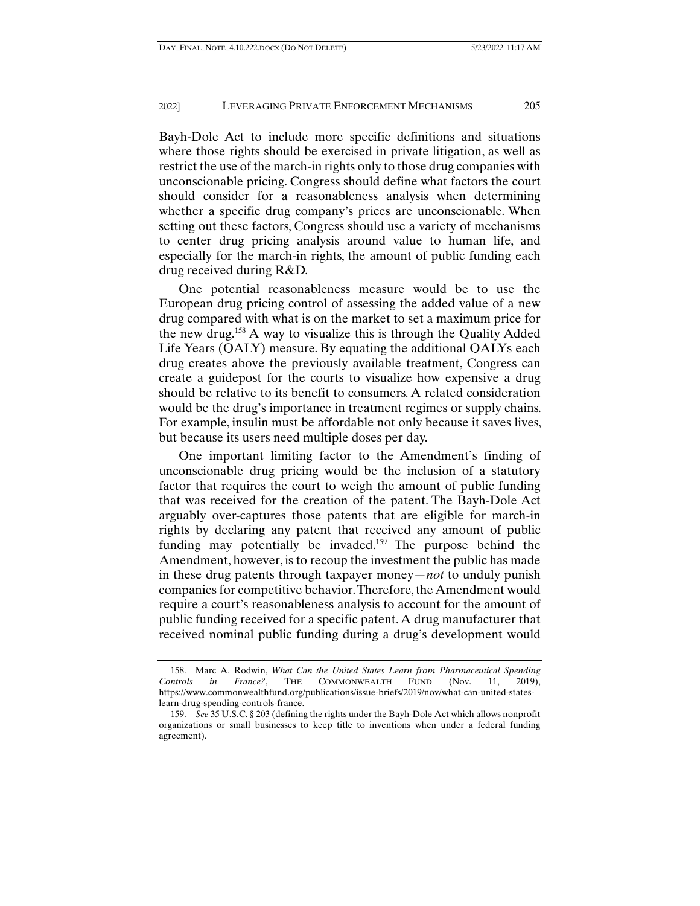Bayh-Dole Act to include more specific definitions and situations where those rights should be exercised in private litigation, as well as restrict the use of the march-in rights only to those drug companies with unconscionable pricing. Congress should define what factors the court should consider for a reasonableness analysis when determining whether a specific drug company's prices are unconscionable. When setting out these factors, Congress should use a variety of mechanisms to center drug pricing analysis around value to human life, and especially for the march-in rights, the amount of public funding each drug received during R&D.

One potential reasonableness measure would be to use the European drug pricing control of assessing the added value of a new drug compared with what is on the market to set a maximum price for the new drug.158 A way to visualize this is through the Quality Added Life Years (QALY) measure. By equating the additional QALYs each drug creates above the previously available treatment, Congress can create a guidepost for the courts to visualize how expensive a drug should be relative to its benefit to consumers. A related consideration would be the drug's importance in treatment regimes or supply chains. For example, insulin must be affordable not only because it saves lives, but because its users need multiple doses per day.

One important limiting factor to the Amendment's finding of unconscionable drug pricing would be the inclusion of a statutory factor that requires the court to weigh the amount of public funding that was received for the creation of the patent. The Bayh-Dole Act arguably over-captures those patents that are eligible for march-in rights by declaring any patent that received any amount of public funding may potentially be invaded.<sup>159</sup> The purpose behind the Amendment, however, is to recoup the investment the public has made in these drug patents through taxpayer money*—not* to unduly punish companies for competitive behavior. Therefore, the Amendment would require a court's reasonableness analysis to account for the amount of public funding received for a specific patent. A drug manufacturer that received nominal public funding during a drug's development would

 <sup>158.</sup> Marc A. Rodwin, *What Can the United States Learn from Pharmaceutical Spending Controls in France?*, THE COMMONWEALTH FUND (Nov. 11, 2019), https://www.commonwealthfund.org/publications/issue-briefs/2019/nov/what-can-united-stateslearn-drug-spending-controls-france.

 <sup>159.</sup> *See* 35 U.S.C. § 203 (defining the rights under the Bayh-Dole Act which allows nonprofit organizations or small businesses to keep title to inventions when under a federal funding agreement).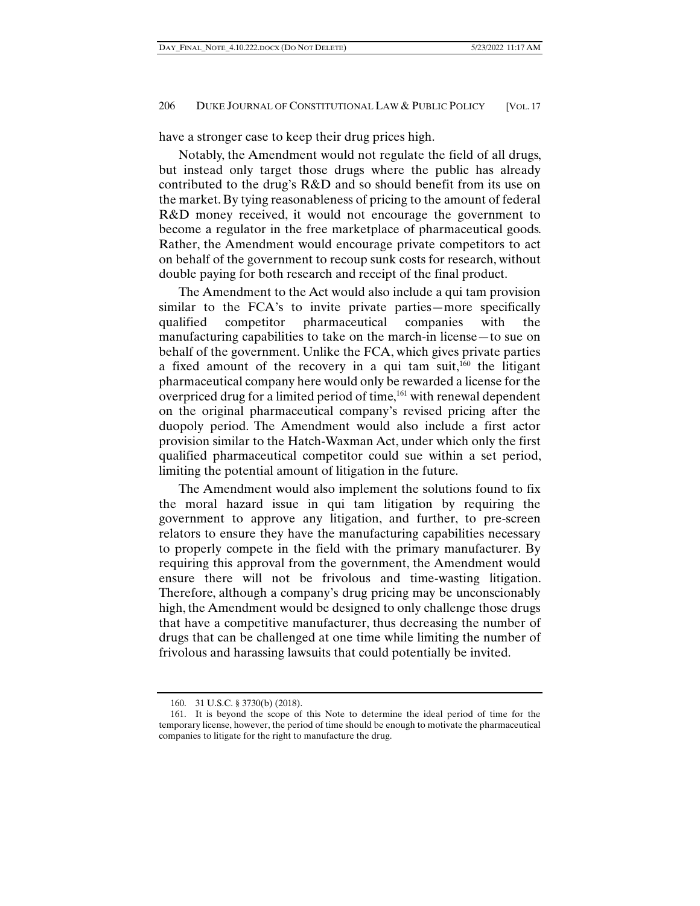have a stronger case to keep their drug prices high.

Notably, the Amendment would not regulate the field of all drugs, but instead only target those drugs where the public has already contributed to the drug's R&D and so should benefit from its use on the market. By tying reasonableness of pricing to the amount of federal R&D money received, it would not encourage the government to become a regulator in the free marketplace of pharmaceutical goods. Rather, the Amendment would encourage private competitors to act on behalf of the government to recoup sunk costs for research, without double paying for both research and receipt of the final product.

The Amendment to the Act would also include a qui tam provision similar to the FCA's to invite private parties—more specifically qualified competitor pharmaceutical companies with the manufacturing capabilities to take on the march-in license—to sue on behalf of the government. Unlike the FCA, which gives private parties a fixed amount of the recovery in a qui tam suit, $160$  the litigant pharmaceutical company here would only be rewarded a license for the overpriced drug for a limited period of time,<sup>161</sup> with renewal dependent on the original pharmaceutical company's revised pricing after the duopoly period. The Amendment would also include a first actor provision similar to the Hatch-Waxman Act, under which only the first qualified pharmaceutical competitor could sue within a set period, limiting the potential amount of litigation in the future.

The Amendment would also implement the solutions found to fix the moral hazard issue in qui tam litigation by requiring the government to approve any litigation, and further, to pre-screen relators to ensure they have the manufacturing capabilities necessary to properly compete in the field with the primary manufacturer. By requiring this approval from the government, the Amendment would ensure there will not be frivolous and time-wasting litigation. Therefore, although a company's drug pricing may be unconscionably high, the Amendment would be designed to only challenge those drugs that have a competitive manufacturer, thus decreasing the number of drugs that can be challenged at one time while limiting the number of frivolous and harassing lawsuits that could potentially be invited.

 <sup>160. 31</sup> U.S.C. § 3730(b) (2018).

 <sup>161.</sup> It is beyond the scope of this Note to determine the ideal period of time for the temporary license, however, the period of time should be enough to motivate the pharmaceutical companies to litigate for the right to manufacture the drug.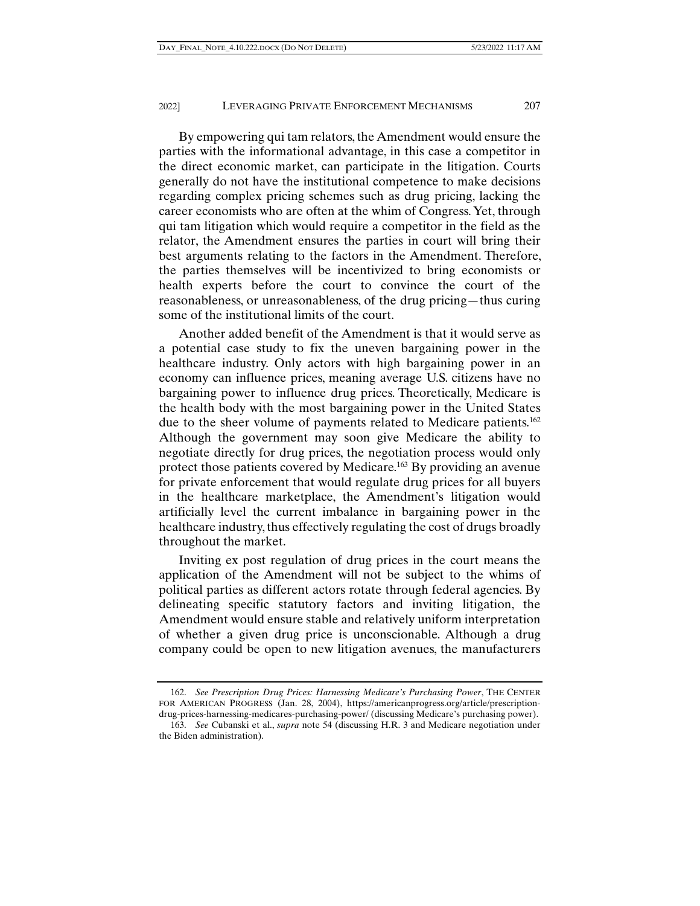By empowering qui tam relators, the Amendment would ensure the parties with the informational advantage, in this case a competitor in the direct economic market, can participate in the litigation. Courts generally do not have the institutional competence to make decisions regarding complex pricing schemes such as drug pricing, lacking the career economists who are often at the whim of Congress. Yet, through qui tam litigation which would require a competitor in the field as the relator, the Amendment ensures the parties in court will bring their best arguments relating to the factors in the Amendment. Therefore, the parties themselves will be incentivized to bring economists or health experts before the court to convince the court of the reasonableness, or unreasonableness, of the drug pricing—thus curing some of the institutional limits of the court.

Another added benefit of the Amendment is that it would serve as a potential case study to fix the uneven bargaining power in the healthcare industry. Only actors with high bargaining power in an economy can influence prices, meaning average U.S. citizens have no bargaining power to influence drug prices. Theoretically, Medicare is the health body with the most bargaining power in the United States due to the sheer volume of payments related to Medicare patients.<sup>162</sup> Although the government may soon give Medicare the ability to negotiate directly for drug prices, the negotiation process would only protect those patients covered by Medicare.<sup>163</sup> By providing an avenue for private enforcement that would regulate drug prices for all buyers in the healthcare marketplace, the Amendment's litigation would artificially level the current imbalance in bargaining power in the healthcare industry, thus effectively regulating the cost of drugs broadly throughout the market.

Inviting ex post regulation of drug prices in the court means the application of the Amendment will not be subject to the whims of political parties as different actors rotate through federal agencies. By delineating specific statutory factors and inviting litigation, the Amendment would ensure stable and relatively uniform interpretation of whether a given drug price is unconscionable. Although a drug company could be open to new litigation avenues, the manufacturers

 <sup>162.</sup> *See Prescription Drug Prices: Harnessing Medicare's Purchasing Power*, THE CENTER FOR AMERICAN PROGRESS (Jan. 28, 2004), https://americanprogress.org/article/prescriptiondrug-prices-harnessing-medicares-purchasing-power/ (discussing Medicare's purchasing power).

 <sup>163.</sup> *See* Cubanski et al., *supra* note 54 (discussing H.R. 3 and Medicare negotiation under the Biden administration).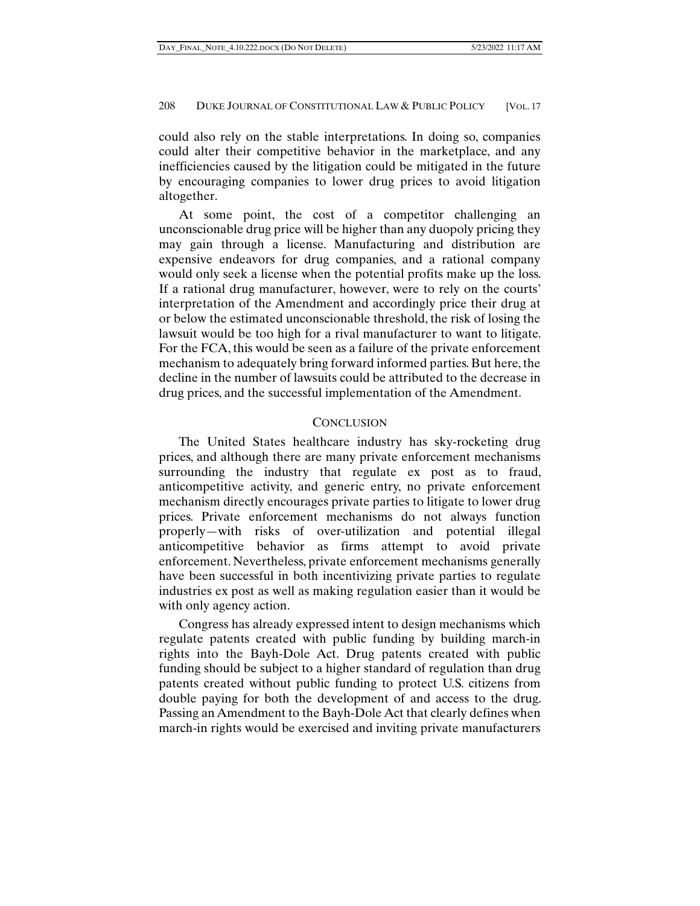could also rely on the stable interpretations. In doing so, companies could alter their competitive behavior in the marketplace, and any inefficiencies caused by the litigation could be mitigated in the future by encouraging companies to lower drug prices to avoid litigation altogether.

At some point, the cost of a competitor challenging an unconscionable drug price will be higher than any duopoly pricing they may gain through a license. Manufacturing and distribution are expensive endeavors for drug companies, and a rational company would only seek a license when the potential profits make up the loss. If a rational drug manufacturer, however, were to rely on the courts' interpretation of the Amendment and accordingly price their drug at or below the estimated unconscionable threshold, the risk of losing the lawsuit would be too high for a rival manufacturer to want to litigate. For the FCA, this would be seen as a failure of the private enforcement mechanism to adequately bring forward informed parties. But here, the decline in the number of lawsuits could be attributed to the decrease in drug prices, and the successful implementation of the Amendment.

## CONCLUSION

The United States healthcare industry has sky-rocketing drug prices, and although there are many private enforcement mechanisms surrounding the industry that regulate ex post as to fraud, anticompetitive activity, and generic entry, no private enforcement mechanism directly encourages private parties to litigate to lower drug prices. Private enforcement mechanisms do not always function properly—with risks of over-utilization and potential illegal anticompetitive behavior as firms attempt to avoid private enforcement. Nevertheless, private enforcement mechanisms generally have been successful in both incentivizing private parties to regulate industries ex post as well as making regulation easier than it would be with only agency action.

Congress has already expressed intent to design mechanisms which regulate patents created with public funding by building march-in rights into the Bayh-Dole Act. Drug patents created with public funding should be subject to a higher standard of regulation than drug patents created without public funding to protect U.S. citizens from double paying for both the development of and access to the drug. Passing an Amendment to the Bayh-Dole Act that clearly defines when march-in rights would be exercised and inviting private manufacturers